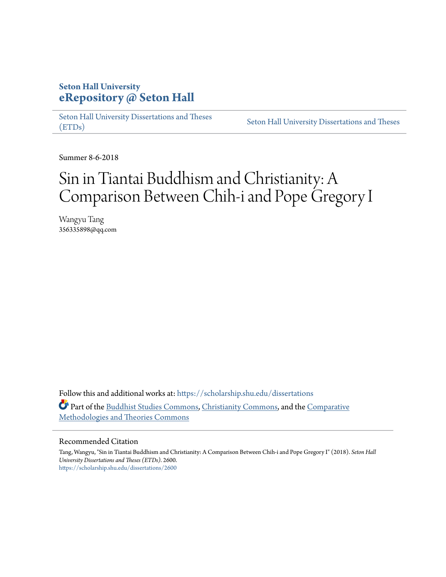## **Seton Hall University [eRepository @ Seton Hall](https://scholarship.shu.edu?utm_source=scholarship.shu.edu%2Fdissertations%2F2600&utm_medium=PDF&utm_campaign=PDFCoverPages)**

[Seton Hall University Dissertations and Theses](https://scholarship.shu.edu/dissertations?utm_source=scholarship.shu.edu%2Fdissertations%2F2600&utm_medium=PDF&utm_campaign=PDFCoverPages) [\(ETDs\)](https://scholarship.shu.edu/dissertations?utm_source=scholarship.shu.edu%2Fdissertations%2F2600&utm_medium=PDF&utm_campaign=PDFCoverPages)

[Seton Hall University Dissertations and Theses](https://scholarship.shu.edu/etds?utm_source=scholarship.shu.edu%2Fdissertations%2F2600&utm_medium=PDF&utm_campaign=PDFCoverPages)

Summer 8-6-2018

# Sin in Tiantai Buddhism and Christianity: A Comparison Between Chih-i and Pope Gregory I

Wangyu Tang 356335898@qq.com

Follow this and additional works at: [https://scholarship.shu.edu/dissertations](https://scholarship.shu.edu/dissertations?utm_source=scholarship.shu.edu%2Fdissertations%2F2600&utm_medium=PDF&utm_campaign=PDFCoverPages) Part of the [Buddhist Studies Commons](http://network.bepress.com/hgg/discipline/1344?utm_source=scholarship.shu.edu%2Fdissertations%2F2600&utm_medium=PDF&utm_campaign=PDFCoverPages), [Christianity Commons](http://network.bepress.com/hgg/discipline/1181?utm_source=scholarship.shu.edu%2Fdissertations%2F2600&utm_medium=PDF&utm_campaign=PDFCoverPages), and the [Comparative](http://network.bepress.com/hgg/discipline/540?utm_source=scholarship.shu.edu%2Fdissertations%2F2600&utm_medium=PDF&utm_campaign=PDFCoverPages) [Methodologies and Theories Commons](http://network.bepress.com/hgg/discipline/540?utm_source=scholarship.shu.edu%2Fdissertations%2F2600&utm_medium=PDF&utm_campaign=PDFCoverPages)

#### Recommended Citation

Tang, Wangyu, "Sin in Tiantai Buddhism and Christianity: A Comparison Between Chih-i and Pope Gregory I" (2018). *Seton Hall University Dissertations and Theses (ETDs)*. 2600. [https://scholarship.shu.edu/dissertations/2600](https://scholarship.shu.edu/dissertations/2600?utm_source=scholarship.shu.edu%2Fdissertations%2F2600&utm_medium=PDF&utm_campaign=PDFCoverPages)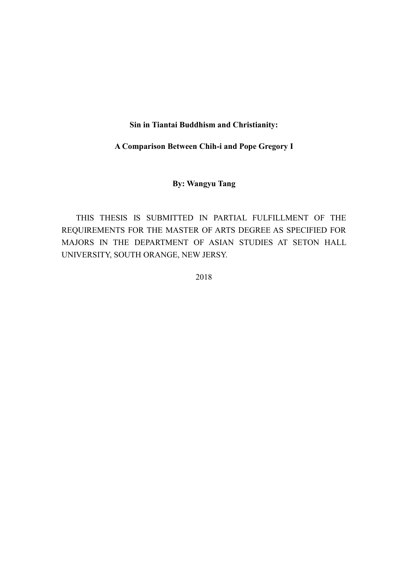## **Sin in Tiantai Buddhism and Christianity:**

## **A Comparison Between Chih-i and Pope Gregory I**

## **By: Wangyu Tang**

THIS THESIS IS SUBMITTED IN PARTIAL FULFILLMENT OF THE REQUIREMENTS FOR THE MASTER OF ARTS DEGREE AS SPECIFIED FOR MAJORS IN THE DEPARTMENT OF ASIAN STUDIES AT SETON HALL UNIVERSITY, SOUTH ORANGE, NEW JERSY.

2018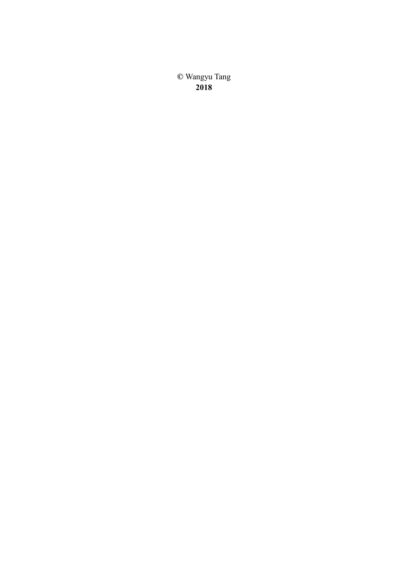**©** Wangyu Tang **2018**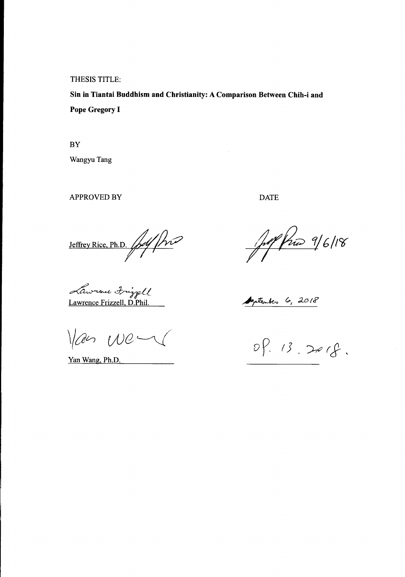THESIS TITLE:

**Sin in Tiantai Buddhism and Christianity: A Comparison Between Chih-i and Pope Gregory I**

**BY** Wangyu Tang

APPROVED BY DATE

*~d~* Lawrence Frizzell. D.Phil.

 $W$ an We $\sim$ 

Yan Wang, Ph.D.

Jeffrey Rice, Ph.D. pdf pro 16/18

Azatentes 6, 2018

 $99.13.2018.$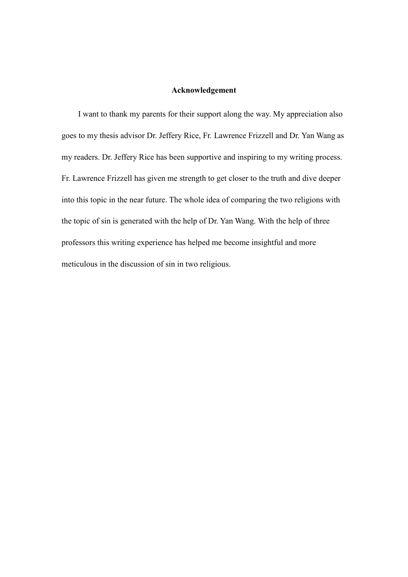## **Acknowledgement**

 I want to thank my parents for their support along the way. My appreciation also goes to my thesis advisor Dr. Jeffery Rice, Fr. Lawrence Frizzell and Dr. Yan Wang as my readers. Dr. Jeffery Rice has been supportive and inspiring to my writing process. Fr. Lawrence Frizzell has given me strength to get closer to the truth and dive deeper into this topic in the near future. The whole idea of comparing the two religions with the topic of sin is generated with the help of Dr. Yan Wang. With the help of three professors this writing experience has helped me become insightful and more meticulous in the discussion of sin in two religious.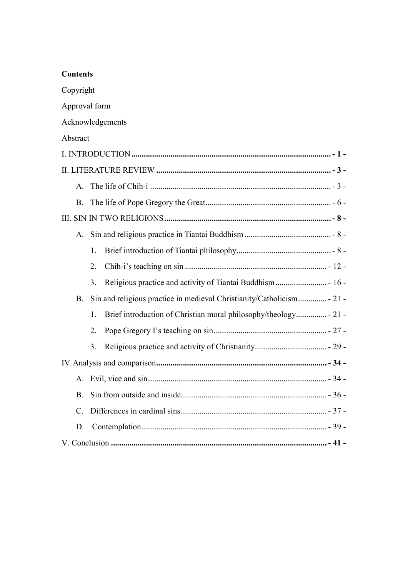| Copyright        |    |                                                                  |  |
|------------------|----|------------------------------------------------------------------|--|
| Approval form    |    |                                                                  |  |
| Acknowledgements |    |                                                                  |  |
| Abstract         |    |                                                                  |  |
|                  |    |                                                                  |  |
|                  |    |                                                                  |  |
| $A_{\cdot}$      |    |                                                                  |  |
| <b>B.</b>        |    |                                                                  |  |
|                  |    |                                                                  |  |
|                  |    |                                                                  |  |
|                  | 1. |                                                                  |  |
|                  | 2. |                                                                  |  |
|                  | 3. | Religious practice and activity of Tiantai Buddhism - 16 -       |  |
| <b>B.</b>        |    |                                                                  |  |
|                  | 1. | Brief introduction of Christian moral philosophy/theology - 21 - |  |
|                  | 2. |                                                                  |  |
|                  | 3. |                                                                  |  |
|                  |    |                                                                  |  |
|                  |    |                                                                  |  |
| <b>B.</b>        |    |                                                                  |  |
| $\mathcal{C}$ .  |    |                                                                  |  |
| D.               |    |                                                                  |  |
|                  |    |                                                                  |  |

**Contents**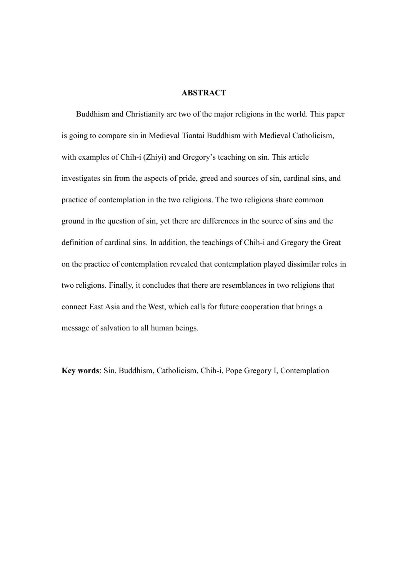#### **ABSTRACT**

<span id="page-6-0"></span>Buddhism and Christianity are two of the major religions in the world. This paper is going to compare sin in Medieval Tiantai Buddhism with Medieval Catholicism, with examples of Chih-i (Zhiyi) and Gregory's teaching on sin. This article investigates sin from the aspects of pride, greed and sources of sin, cardinal sins, and practice of contemplation in the two religions. The two religions share common ground in the question of sin, yet there are differences in the source of sins and the definition of cardinal sins. In addition, the teachings of Chih-i and Gregory the Great on the practice of contemplation revealed that contemplation played dissimilar roles in two religions. Finally, it concludes that there are resemblances in two religions that connect East Asia and the West, which calls for future cooperation that brings a message of salvation to all human beings.

**Key words**: Sin, Buddhism, Catholicism, Chih-i, Pope Gregory I, Contemplation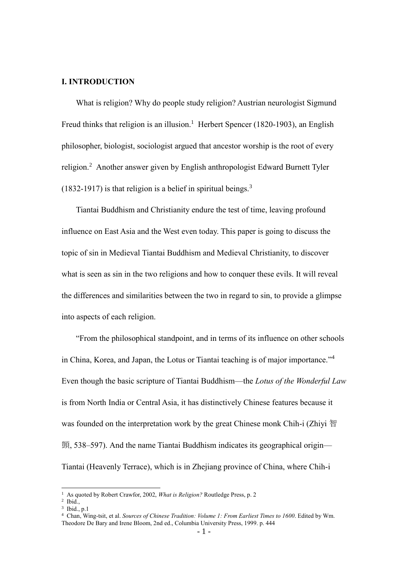## <span id="page-7-0"></span>**Ⅰ. INTRODUCTION**

What is religion? Why do people study religion? Austrian neurologist Sigmund Freud thinks that religion is an illusion.<sup>1</sup> Herbert Spencer (1820-1903), an English philosopher, biologist, sociologist argued that ancestor worship is the root of every religion.<sup>2</sup> Another answer given by English anthropologist Edward Burnett Tyler  $(1832-1917)$  is that religion is a belief in spiritual beings.<sup>3</sup>

Tiantai Buddhism and Christianity endure the test of time, leaving profound influence on East Asia and the West even today. This paper is going to discuss the topic of sin in Medieval Tiantai Buddhism and Medieval Christianity, to discover what is seen as sin in the two religions and how to conquer these evils. It will reveal the differences and similarities between the two in regard to sin, to provide a glimpse into aspects of each religion.

"From the philosophical standpoint, and in terms of its influence on other schools in China, Korea, and Japan, the Lotus or Tiantai teaching is of major importance." 4 Even though the basic scripture of Tiantai Buddhism—the *Lotus of the Wonderful Law* is from North India or Central Asia, it has distinctively Chinese features because it was founded on the interpretation work by the great Chinese monk Chih-i (Zhiyi 智 顗, 538–597). And the name Tiantai Buddhism indicates its geographical origin— Tiantai (Heavenly Terrace), which is in Zhejiang province of China, where Chih-i

<sup>1</sup> As quoted by Robert Crawfor, 2002, *What is Religion?* Routledge Press, p. 2

<sup>2</sup> Ibid.,

<sup>3</sup> Ibid., p.1

<sup>4</sup> Chan, Wing-tsit, et al. *Sources of Chinese Tradition: Volume 1: From Earliest Times to 1600*. Edited by Wm. Theodore De Bary and Irene Bloom, 2nd ed., Columbia University Press, 1999. p. 444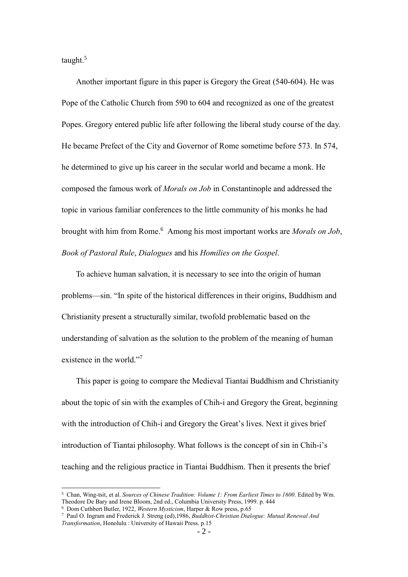taught.<sup>5</sup>

 $\overline{a}$ 

Another important figure in this paper is Gregory the Great (540-604). He was Pope of the Catholic Church from 590 to 604 and recognized as one of the greatest Popes. Gregory entered public life after following the liberal study course of the day. He became Prefect of the City and Governor of Rome sometime before 573. In 574, he determined to give up his career in the secular world and became a monk. He composed the famous work of *Morals on Job* in Constantinople and addressed the topic in various familiar conferences to the little community of his monks he had brought with him from Rome.<sup>6</sup> Among his most important works are *Morals on Job*, *Book of Pastoral Rule*, *Dialogues* and his *Homilies on the Gospel*.

To achieve human salvation, it is necessary to see into the origin of human problems—sin. "In spite of the historical differences in their origins, Buddhism and Christianity present a structurally similar, twofold problematic based on the understanding of salvation as the solution to the problem of the meaning of human existence in the world."7

This paper is going to compare the Medieval Tiantai Buddhism and Christianity about the topic of sin with the examples of Chih-i and Gregory the Great, beginning with the introduction of Chih-i and Gregory the Great's lives. Next it gives brief introduction of Tiantai philosophy. What follows is the concept of sin in Chih-i's teaching and the religious practice in Tiantai Buddhism. Then it presents the brief

<sup>5</sup> Chan, Wing-tsit, et al. *Sources of Chinese Tradition: Volume 1: From Earliest Times to 1600.* Edited by Wm. Theodore De Bary and Irene Bloom, 2nd ed., Columbia University Press, 1999. p. 444

<sup>6</sup> Dom Cuthbert Butler, 1922, *Western Mysticism*, Harper & Row press, p.65

<sup>7</sup> Paul O. Ingram and Frederick J. Streng (ed),1986, *Buddhist-Christian Dialogue: Mutual Renewal And Transformation*, Honolulu : University of Hawaii Press. p.15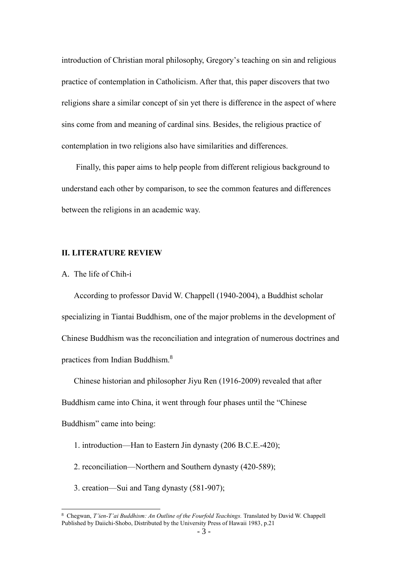introduction of Christian moral philosophy, Gregory's teaching on sin and religious practice of contemplation in Catholicism. After that, this paper discovers that two religions share a similar concept of sin yet there is difference in the aspect of where sins come from and meaning of cardinal sins. Besides, the religious practice of contemplation in two religions also have similarities and differences.

Finally, this paper aims to help people from different religious background to understand each other by comparison, to see the common features and differences between the religions in an academic way.

## <span id="page-9-0"></span>**Ⅱ. LITERATURE REVIEW**

<span id="page-9-1"></span>A. The life of Chih-i

 $\overline{a}$ 

According to professor David W. Chappell (1940-2004), a Buddhist scholar specializing in Tiantai Buddhism, one of the major problems in the development of Chinese Buddhism was the reconciliation and integration of numerous doctrines and practices from Indian Buddhism.<sup>8</sup>

Chinese historian and philosopher Jiyu Ren (1916-2009) revealed that after Buddhism came into China, it went through four phases until the "Chinese Buddhism" came into being:

- 1. introduction—Han to Eastern Jin dynasty (206 B.C.E.-420);
- 2. reconciliation—Northern and Southern dynasty (420-589);
- 3. creation—Sui and Tang dynasty (581-907);

<sup>8</sup> Chegwan, *T'ien-T'ai Buddhism: An Outline of the Fourfold Teachings.* Translated by David W. Chappell Published by Daiichi-Shobo, Distributed by the University Press of Hawaii 1983, p.21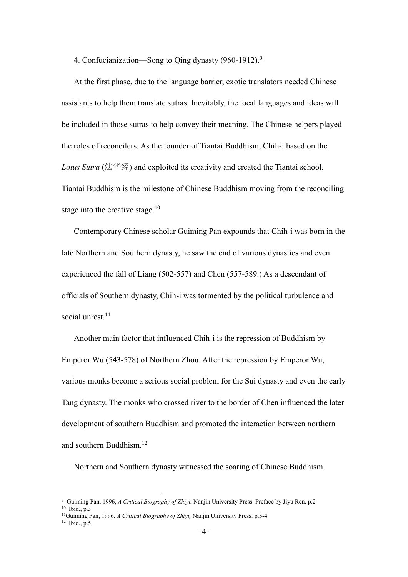4. Confucianization—Song to Qing dynasty (960-1912).<sup>9</sup>

At the first phase, due to the language barrier, exotic translators needed Chinese assistants to help them translate sutras. Inevitably, the local languages and ideas will be included in those sutras to help convey their meaning. The Chinese helpers played the roles of reconcilers. As the founder of Tiantai Buddhism, Chih-i based on the *Lotus Sutra* (法华经) and exploited its creativity and created the Tiantai school. Tiantai Buddhism is the milestone of Chinese Buddhism moving from the reconciling stage into the creative stage.<sup>10</sup>

Contemporary Chinese scholar Guiming Pan expounds that Chih-i was born in the late Northern and Southern dynasty, he saw the end of various dynasties and even experienced the fall of Liang (502-557) and Chen (557-589.) As a descendant of officials of Southern dynasty, Chih-i was tormented by the political turbulence and social unrest.<sup>11</sup>

Another main factor that influenced Chih-i is the repression of Buddhism by Emperor Wu (543-578) of Northern Zhou. After the repression by Emperor Wu, various monks become a serious social problem for the Sui dynasty and even the early Tang dynasty. The monks who crossed river to the border of Chen influenced the later development of southern Buddhism and promoted the interaction between northern and southern Buddhism. 12

Northern and Southern dynasty witnessed the soaring of Chinese Buddhism.

<sup>9</sup> Guiming Pan, 1996, *A Critical Biography of Zhiyi,* Nanjin University Press. Preface by Jiyu Ren. p.2 <sup>10</sup> Ibid., p.3

<sup>11</sup>Guiming Pan, 1996, *A Critical Biography of Zhiyi,* Nanjin University Press. p.3-4

 $12$  Ibid., p.5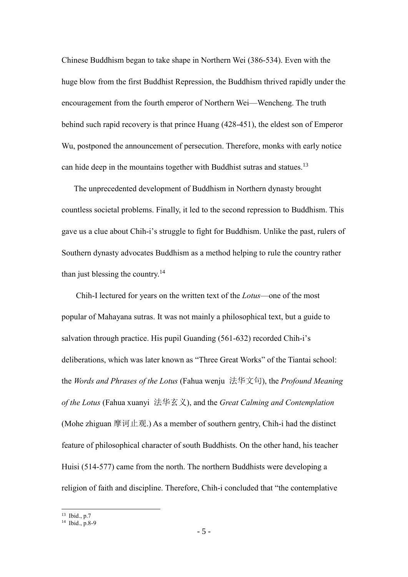Chinese Buddhism began to take shape in Northern Wei (386-534). Even with the huge blow from the first Buddhist Repression, the Buddhism thrived rapidly under the encouragement from the fourth emperor of Northern Wei—Wencheng. The truth behind such rapid recovery is that prince Huang (428-451), the eldest son of Emperor Wu, postponed the announcement of persecution. Therefore, monks with early notice can hide deep in the mountains together with Buddhist sutras and statues.<sup>13</sup>

The unprecedented development of Buddhism in Northern dynasty brought countless societal problems. Finally, it led to the second repression to Buddhism. This gave us a clue about Chih-i's struggle to fight for Buddhism. Unlike the past, rulers of Southern dynasty advocates Buddhism as a method helping to rule the country rather than just blessing the country.<sup>14</sup>

Chih-I lectured for years on the written text of the *Lotus*—one of the most popular of Mahayana sutras. It was not mainly a philosophical text, but a guide to salvation through practice. His pupil Guanding (561-632) recorded Chih-i's deliberations, which was later known as "Three Great Works" of the Tiantai school: the *Words and Phrases of the Lotus* (Fahua wenju 法华文句), the *Profound Meaning of the Lotus* (Fahua xuanyi 法华玄义), and the *Great Calming and Contemplation* (Mohe zhiguan 摩诃止观.) As a member of southern gentry, Chih-i had the distinct feature of philosophical character of south Buddhists. On the other hand, his teacher Huisi (514-577) came from the north. The northern Buddhists were developing a religion of faith and discipline. Therefore, Chih-i concluded that "the contemplative

<sup>13</sup> Ibid., p.7

<sup>14</sup> Ibid., p.8-9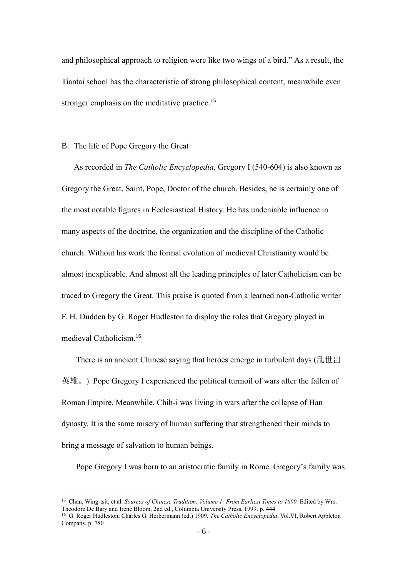and philosophical approach to religion were like two wings of a bird." As a result, the Tiantai school has the characteristic of strong philosophical content, meanwhile even stronger emphasis on the meditative practice.<sup>15</sup>

#### <span id="page-12-0"></span>B. The life of Pope Gregory the Great

 $\overline{a}$ 

As recorded in *The Catholic Encyclopedia*, Gregory I (540-604) is also known as Gregory the Great, Saint, Pope, Doctor of the church. Besides, he is certainly one of the most notable figures in Ecclesiastical History. He has undeniable influence in many aspects of the doctrine, the organization and the discipline of the Catholic church. Without his work the formal evolution of medieval Christianity would be almost inexplicable. And almost all the leading principles of later Catholicism can be traced to Gregory the Great. This praise is quoted from a learned non-Catholic writer F. H. Dudden by G. Roger Hudleston to display the roles that Gregory played in medieval Catholicism.<sup>16</sup>

There is an ancient Chinese saying that heroes emerge in turbulent days (乱世出 英雄。). Pope Gregory I experienced the political turmoil of wars after the fallen of Roman Empire. Meanwhile, Chih-i was living in wars after the collapse of Han dynasty. It is the same misery of human suffering that strengthened their minds to bring a message of salvation to human beings.

Pope Gregory I was born to an aristocratic family in Rome. Gregory's family was

<sup>15</sup> Chan, Wing-tsit, et al. *Sources of Chinese Tradition: Volume 1: From Earliest Times to 1600.* Edited by Wm. Theodore De Bary and Irene Bloom, 2nd ed., Columbia University Press, 1999. p. 444

<sup>16</sup> G. Roger Hudleston, Charles G. Herbermann (ed.) 1909, *The Catholic Encyclopedia*, Vol.VI, Robert Appleton Company, p. 780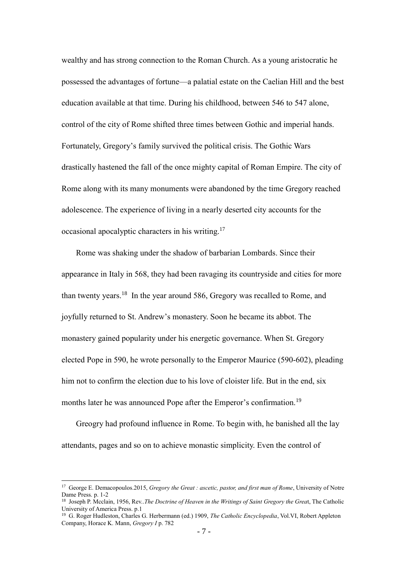wealthy and has strong connection to the Roman Church. As a young aristocratic he possessed the advantages of fortune—a palatial estate on the Caelian Hill and the best education available at that time. During his childhood, between 546 to 547 alone, control of the city of Rome shifted three times between Gothic and imperial hands. Fortunately, Gregory's family survived the political crisis. The Gothic Wars drastically hastened the fall of the once mighty capital of Roman Empire. The city of Rome along with its many monuments were abandoned by the time Gregory reached adolescence. The experience of living in a nearly deserted city accounts for the occasional apocalyptic characters in his writing.<sup>17</sup>

Rome was shaking under the shadow of barbarian Lombards. Since their appearance in Italy in 568, they had been ravaging its countryside and cities for more than twenty years.<sup>18</sup> In the year around 586, Gregory was recalled to Rome, and joyfully returned to St. Andrew's monastery. Soon he became its abbot. The monastery gained popularity under his energetic governance. When St. Gregory elected Pope in 590, he wrote personally to the Emperor Maurice (590-602), pleading him not to confirm the election due to his love of cloister life. But in the end, six months later he was announced Pope after the Emperor's confirmation.<sup>19</sup>

Greogry had profound influence in Rome. To begin with, he banished all the lay attendants, pages and so on to achieve monastic simplicity. Even the control of

<sup>17</sup> George E. Demacopoulos.2015, *Gregory the Great : ascetic, pastor, and first man of Rome*, University of Notre Dame Press. p. 1-2

<sup>18</sup> Joseph P. Mcclain, 1956, Rev..*The Doctrine of Heaven in the Writings of Saint Gregory the Grea*t, The Catholic University of America Press. p.1

<sup>19</sup> G. Roger Hudleston, Charles G. Herbermann (ed.) 1909, *The Catholic Encyclopedia*, Vol.VI, Robert Appleton Company, Horace K. Mann, *Gregory I* p. 782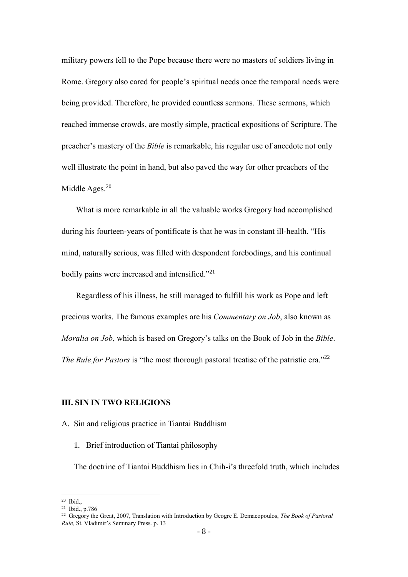military powers fell to the Pope because there were no masters of soldiers living in Rome. Gregory also cared for people's spiritual needs once the temporal needs were being provided. Therefore, he provided countless sermons. These sermons, which reached immense crowds, are mostly simple, practical expositions of Scripture. The preacher's mastery of the *Bible* is remarkable, his regular use of anecdote not only well illustrate the point in hand, but also paved the way for other preachers of the Middle Ages.<sup>20</sup>

What is more remarkable in all the valuable works Gregory had accomplished during his fourteen-years of pontificate is that he was in constant ill-health. "His mind, naturally serious, was filled with despondent forebodings, and his continual bodily pains were increased and intensified."<sup>21</sup>

Regardless of his illness, he still managed to fulfill his work as Pope and left precious works. The famous examples are his *Commentary on Job*, also known as *Moralia on Job*, which is based on Gregory's talks on the Book of Job in the *Bible*. *The Rule for Pastors* is "the most thorough pastoral treatise of the patristic era."<sup>22</sup>

## <span id="page-14-0"></span>**Ⅲ. SIN IN TWO RELIGIONS**

## <span id="page-14-2"></span><span id="page-14-1"></span>A. Sin and religious practice in Tiantai Buddhism

1. Brief introduction of Tiantai philosophy

The doctrine of Tiantai Buddhism lies in Chih-i's threefold truth, which includes

<sup>20</sup> Ibid.,

<sup>21</sup> Ibid., p.786

<sup>22</sup> Gregory the Great, 2007, Translation with Introduction by Geogre E. Demacopoulos, *The Book of Pastoral Rule,* St. Vladimir's Seminary Press. p. 13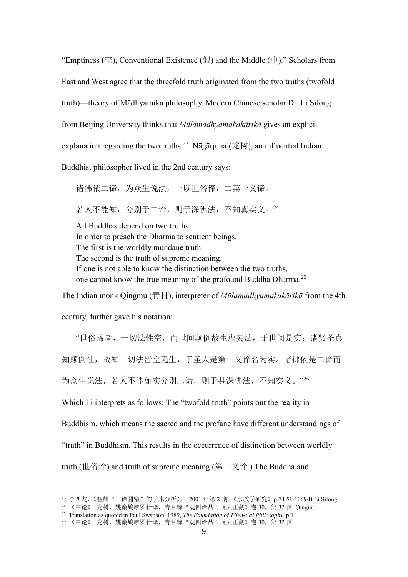"Emptiness (空), Conventional Existence (假) and the Middle (中)." Scholars from East and West agree that the threefold truth originated from the two truths (twofold truth)—theory of Mādhyamika philosophy. Modern Chinese scholar Dr. Li Silong from Beijing University thinks that *Mūlamadhyamakakārikā* gives an explicit explanation regarding the two truths.<sup>23</sup> Nāgārjuna (龙树), an influential Indian Buddhist philosopher lived in the 2nd century says:

诸佛依二谛,为众生说法,一以世俗谛,二第一义谛。 若人不能知,分别于二谛,则于深佛法,不知真实义。<sup>24</sup> All Buddhas depend on two truths In order to preach the Dharma to sentient beings.

The first is the worldly mundane truth. The second is the truth of supreme meaning. If one is not able to know the distinction between the two truths, one cannot know the true meaning of the profound Buddha Dharma.<sup>25</sup>

The Indian monk Qingmu (青目), interpreter of *Mūlamadhyamakakārikā* from the 4th

century, further gave his notation:

 $\overline{a}$ 

"世俗谛者,一切法性空,而世间颠倒故生虚妄法,于世间是实;诸贤圣真 知颠倒性,故知一切法皆空无生,于圣人是第一义谛名为实。诸佛依是二谛而 为众生说法,若人不能如实分别二谛,则于甚深佛法,不知实义。"26

Which Li interprets as follows: The "twofold truth" points out the reality in

Buddhism, which means the sacred and the profane have different understandings of

"truth" in Buddhism. This results in the occurrence of distinction between worldly

truth (世俗谛) and truth of supreme meaning (第一义谛.) The Buddha and

<sup>23</sup> 李四龙,《智顗"三谛圆融"的学术分析》, 2001 年第 2 期,《宗教学研究》p.74 51-1069/B Li Silong

<sup>24</sup> 《中论》 龙树,姚秦鸠摩罗什译,青目释"观四谛品",《大正藏》卷 30,第 32 页 Qingmu

<sup>25</sup> Translation as quoted in Paul Swanson, 1989, *The Foundation of T'ien-t'ai Philosophy,* p.1

<sup>26 《</sup>中论》 龙树, 姚秦鸠摩罗什译, 青目释"观四谛品", 《大正藏》卷 30, 第 32 页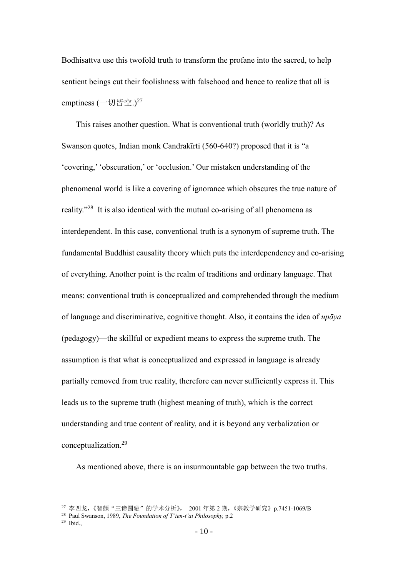Bodhisattva use this twofold truth to transform the profane into the sacred, to help sentient beings cut their foolishness with falsehood and hence to realize that all is emptiness (一切皆空.)<sup>27</sup>

This raises another question. What is conventional truth (worldly truth)? As Swanson quotes, Indian monk Candrakīrti (560-640?) proposed that it is "a 'covering,' 'obscuration,' or 'occlusion.' Our mistaken understanding of the phenomenal world is like a covering of ignorance which obscures the true nature of reality."<sup>28</sup> It is also identical with the mutual co-arising of all phenomena as interdependent. In this case, conventional truth is a synonym of supreme truth. The fundamental Buddhist causality theory which puts the interdependency and co-arising of everything. Another point is the realm of traditions and ordinary language. That means: conventional truth is conceptualized and comprehended through the medium of language and discriminative, cognitive thought. Also, it contains the idea of *upāya* (pedagogy)—the skillful or expedient means to express the supreme truth. The assumption is that what is conceptualized and expressed in language is already partially removed from true reality, therefore can never sufficiently express it. This leads us to the supreme truth (highest meaning of truth), which is the correct understanding and true content of reality, and it is beyond any verbalization or conceptualization.<sup>29</sup>

As mentioned above, there is an insurmountable gap between the two truths.

<sup>27</sup> 李四龙,《智顗"三谛圆融"的学术分析》, 2001 年第 2 期,《宗教学研究》p.7451-1069/B

<sup>28</sup> Paul Swanson, 1989, *The Foundation of T'ien-t'ai Philosophy,* p.2

<sup>29</sup> Ibid.,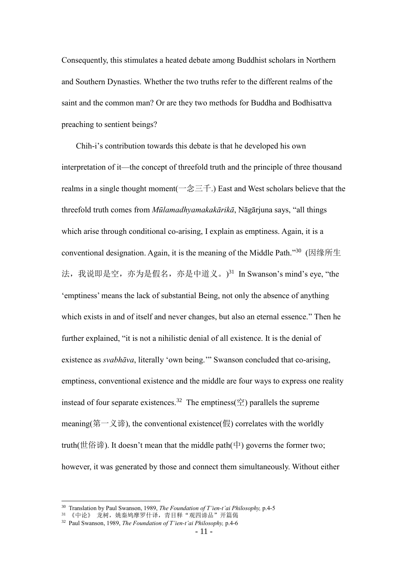Consequently, this stimulates a heated debate among Buddhist scholars in Northern and Southern Dynasties. Whether the two truths refer to the different realms of the saint and the common man? Or are they two methods for Buddha and Bodhisattva preaching to sentient beings?

Chih-i's contribution towards this debate is that he developed his own interpretation of it—the concept of threefold truth and the principle of three thousand realms in a single thought moment( $-\hat{\otimes} \equiv \pm$ .) East and West scholars believe that the threefold truth comes from *Mūlamadhyamakakārikā*, Nāgārjuna says, "all things which arise through conditional co-arising, I explain as emptiness. Again, it is a conventional designation. Again, it is the meaning of the Middle Path."<sup>30</sup> (因缘所生 法, 我说即是空, 亦为是假名, 亦是中道义。)<sup>31</sup> In Swanson's mind's eye, "the 'emptiness' means the lack of substantial Being, not only the absence of anything which exists in and of itself and never changes, but also an eternal essence." Then he further explained, "it is not a nihilistic denial of all existence. It is the denial of existence as *svabhāva*, literally 'own being.'" Swanson concluded that co-arising, emptiness, conventional existence and the middle are four ways to express one reality instead of four separate existences.<sup>32</sup> The emptiness( $\hat{\mathfrak{T}}$ ) parallels the supreme meaning(第一义谛), the conventional existence(假) correlates with the worldly truth(世俗谛). It doesn't mean that the middle path(中) governs the former two; however, it was generated by those and connect them simultaneously. Without either

<sup>30</sup> Translation by Paul Swanson, 1989, *The Foundation of T'ien-t'ai Philosophy,* p.4-5

<sup>31 《</sup>中论》 龙树, 姚秦鸠摩罗什译, 青目释"观四谛品"开篇偈

<sup>32</sup> Paul Swanson, 1989, *The Foundation of T'ien-t'ai Philosophy,* p.4-6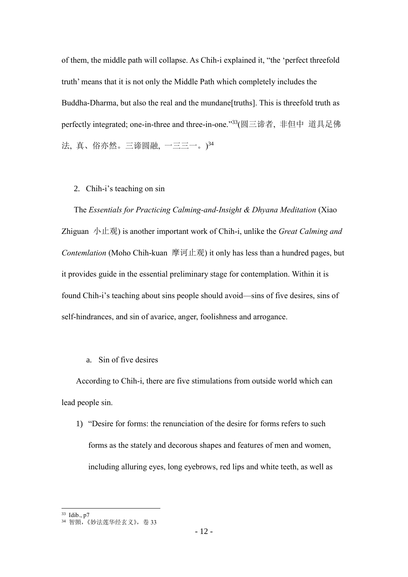of them, the middle path will collapse. As Chih-i explained it, "the 'perfect threefold truth' means that it is not only the Middle Path which completely includes the Buddha-Dharma, but also the real and the mundane[truths]. This is threefold truth as perfectly integrated; one-in-three and three-in-one." <sup>33</sup>(圆三谛者, 非但中 道具足佛 法, 真、俗亦然。三谛圆融, 一三三一。) 34

#### <span id="page-18-0"></span>2. Chih-i's teaching on sin

The *Essentials for Practicing Calming-and-Insight & Dhyana Meditation* (Xiao Zhiguan 小止观) is another important work of Chih-i, unlike the *Great Calming and Contemlation* (Moho Chih-kuan 摩诃止观) it only has less than a hundred pages, but it provides guide in the essential preliminary stage for contemplation. Within it is found Chih-i's teaching about sins people should avoid—sins of five desires, sins of self-hindrances, and sin of avarice, anger, foolishness and arrogance.

## a. Sin of five desires

According to Chih-i, there are five stimulations from outside world which can lead people sin.

1) "Desire for forms: the renunciation of the desire for forms refers to such forms as the stately and decorous shapes and features of men and women, including alluring eyes, long eyebrows, red lips and white teeth, as well as

<sup>33</sup> Idib., p7

<sup>34</sup> 智顗, 《妙法莲华经玄义》, 卷 33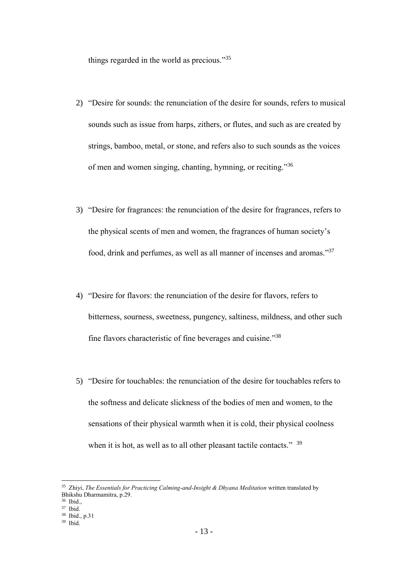things regarded in the world as precious."35

- 2) "Desire for sounds: the renunciation of the desire for sounds, refers to musical sounds such as issue from harps, zithers, or flutes, and such as are created by strings, bamboo, metal, or stone, and refers also to such sounds as the voices of men and women singing, chanting, hymning, or reciting."36
- 3) "Desire for fragrances: the renunciation of the desire for fragrances, refers to the physical scents of men and women, the fragrances of human society's food, drink and perfumes, as well as all manner of incenses and aromas."<sup>37</sup>
- 4) "Desire for flavors: the renunciation of the desire for flavors, refers to bitterness, sourness, sweetness, pungency, saltiness, mildness, and other such fine flavors characteristic of fine beverages and cuisine."38
- 5) "Desire for touchables: the renunciation of the desire for touchables refers to the softness and delicate slickness of the bodies of men and women, to the sensations of their physical warmth when it is cold, their physical coolness when it is hot, as well as to all other pleasant tactile contacts." <sup>39</sup>

<sup>&</sup>lt;sup>35</sup> Zhiyi, *The Essentials for Practicing Calming-and-Insight & Dhyana Meditation* written translated by Bhikshu Dharmamitra, p.29.

<sup>36</sup> Ibid.,

<sup>37</sup> Ibid.

<sup>38</sup> Ibid., p.31

<sup>39</sup> Ibid.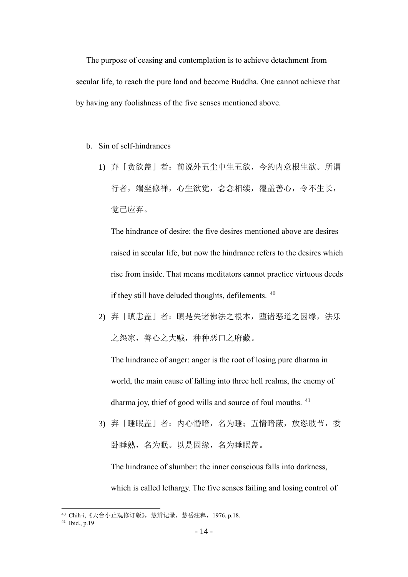The purpose of ceasing and contemplation is to achieve detachment from secular life, to reach the pure land and become Buddha. One cannot achieve that by having any foolishness of the five senses mentioned above.

- b. Sin of self-hindrances
	- 1) 弃「贪欲盖」者:前说外五尘中生五欲,今约内意根生欲。所谓 行者,端坐修禅,心生欲觉,念念相续,覆盖善心,令不生长, 觉已应弃。

The hindrance of desire: the five desires mentioned above are desires raised in secular life, but now the hindrance refers to the desires which rise from inside. That means meditators cannot practice virtuous deeds if they still have deluded thoughts, defilements. <sup>40</sup>

2) 弃「瞋恚盖」者:瞋是失诸佛法之根本,堕诸恶道之因缘,法乐 之怨家,善心之大贼,种种恶口之府藏。

The hindrance of anger: anger is the root of losing pure dharma in world, the main cause of falling into three hell realms, the enemy of dharma joy, thief of good wills and source of foul mouths. <sup>41</sup>

3) 弃「睡眠盖」者:内心惛暗,名为睡;五情暗蔽,放恣肢节,委 卧睡熟,名为眠。以是因缘,名为睡眠盖。

The hindrance of slumber: the inner conscious falls into darkness, which is called lethargy. The five senses failing and losing control of

<sup>&</sup>lt;sup>40</sup> Chih-i, 《天台小止观修订版》, 慧辨记录, 慧岳注释, 1976. p.18.

<sup>41</sup> Ibid., p.19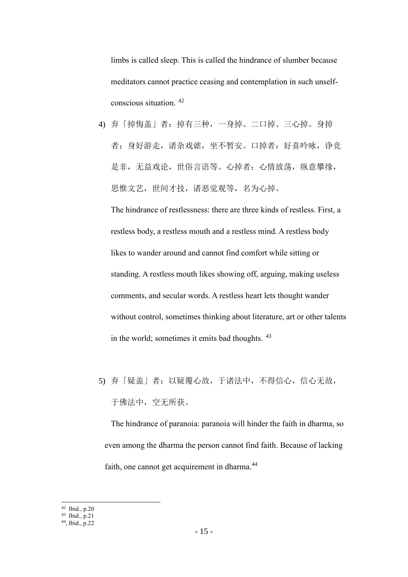limbs is called sleep. This is called the hindrance of slumber because meditators cannot practice ceasing and contemplation in such unselfconscious situation. <sup>42</sup>

4) 弃「掉悔盖」者:掉有三种,一身掉、二口掉、三心掉。身掉 者: 身好游走, 诸杂戏谑, 坐不暂安。口掉者: 好喜吟咏, 诤竞 是非,无益戏论,世俗言语等。心掉者:心情放荡, 纵意攀缘, 思惟文艺,世间才技,诸恶觉观等,名为心掉。

The hindrance of restlessness: there are three kinds of restless. First, a restless body, a restless mouth and a restless mind. A restless body likes to wander around and cannot find comfort while sitting or standing. A restless mouth likes showing off, arguing, making useless comments, and secular words. A restless heart lets thought wander without control, sometimes thinking about literature, art or other talents in the world; sometimes it emits bad thoughts. <sup>43</sup>

5) 弃「疑盖」者:以疑覆心故,于诸法中,不得信心,信心无故, 于佛法中,空无所获。

The hindrance of paranoia: paranoia will hinder the faith in dharma, so even among the dharma the person cannot find faith. Because of lacking faith, one cannot get acquirement in dharma.<sup>44</sup>

 $42$  Ibid., p.20

<sup>43</sup> Ibid., p.21

<sup>44</sup>, Ibid., p.22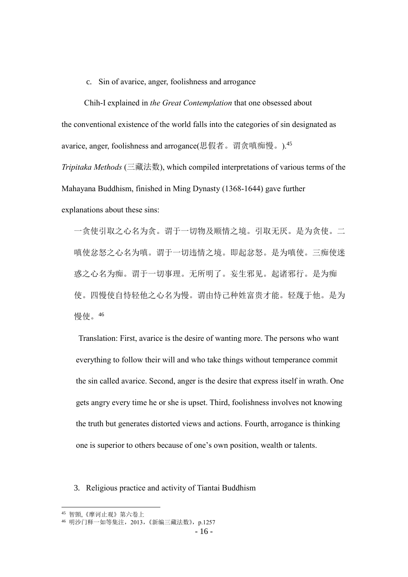#### c. Sin of avarice, anger, foolishness and arrogance

Chih-I explained in *the Great Contemplation* that one obsessed about the conventional existence of the world falls into the categories of sin designated as avarice, anger, foolishness and arrogance(思假者。谓贪嗔痴慢。). <sup>45</sup>

*Tripitaka Methods* (三藏法数), which compiled interpretations of various terms of the Mahayana Buddhism, finished in Ming Dynasty (1368-1644) gave further explanations about these sins:

一贪使引取之心名为贪。谓于一切物及顺情之境。引取无厌。是为贪使。二 嗔使忿怒之心名为嗔。谓于一切违情之境。即起忿怒。是为嗔使。三痴使迷 惑之心名为痴。谓于一切事理。无所明了。妄生邪见。起诸邪行。是为痴 使。四慢使自恃轻他之心名为慢。谓由恃己种姓富贵才能。轻蔑于他。是为 慢使。<sup>46</sup>

Translation: First, avarice is the desire of wanting more. The persons who want everything to follow their will and who take things without temperance commit the sin called avarice. Second, anger is the desire that express itself in wrath. One gets angry every time he or she is upset. Third, foolishness involves not knowing the truth but generates distorted views and actions. Fourth, arrogance is thinking one is superior to others because of one's own position, wealth or talents.

<span id="page-22-0"></span>3. Religious practice and activity of Tiantai Buddhism

<sup>45</sup> 智顗,《摩诃止观》第六卷上

<sup>46</sup> 明沙门释一如等集注,2013,《新编三藏法数》,p.1257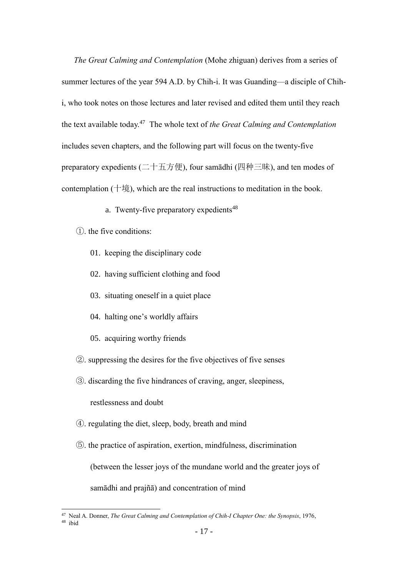*The Great Calming and Contemplation* (Mohe zhiguan) derives from a series of summer lectures of the year 594 A.D. by Chih-i. It was Guanding—a disciple of Chihi, who took notes on those lectures and later revised and edited them until they reach the text available today.<sup>47</sup> The whole text of *the Great Calming and Contemplation*  includes seven chapters, and the following part will focus on the twenty-five preparatory expedients (二十五方便), four samādhi (四种三昧), and ten modes of contemplation (十境), which are the real instructions to meditation in the book.

- a. Twenty-five preparatory expedients $48$
- ①. the five conditions:
	- 01. keeping the disciplinary code
	- 02. having sufficient clothing and food
	- 03. situating oneself in a quiet place
	- 04. halting one's worldly affairs
	- 05. acquiring worthy friends
- ②. suppressing the desires for the five objectives of five senses
- ③. discarding the five hindrances of craving, anger, sleepiness, restlessness and doubt
- ④. regulating the diet, sleep, body, breath and mind
- ⑤. the practice of aspiration, exertion, mindfulness, discrimination (between the lesser joys of the mundane world and the greater joys of samādhi and prajñā) and concentration of mind

<sup>47</sup> Neal A. Donner, *The Great Calming and Contemplation of Chih-I Chapter One: the Synopsis*, 1976,

 $48$  ibid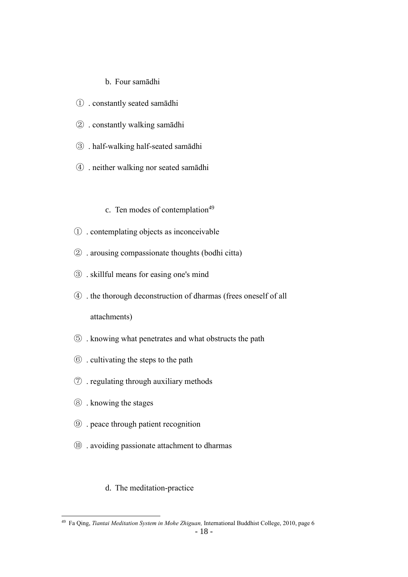## b. Four samādhi

- . constantly seated samādhi
- . constantly walking samādhi
- . half-walking half-seated samādhi
- . neither walking nor seated samādhi
	- c. Ten modes of contemplation
- . contemplating objects as inconceivable
- . arousing compassionate thoughts (bodhi citta)
- . skillful means for easing one's mind
- . the thorough deconstruction of dharmas (frees oneself of all attachments)
- . knowing what penetrates and what obstructs the path
- . cultivating the steps to the path
- . regulating through auxiliary methods
- . knowing the stages

 $\overline{a}$ 

- . peace through patient recognition
- . avoiding passionate attachment to dharmas

## d. The meditation-practice

Fa Qing, *Tiantai Meditation System in Mohe Zhiguan,* International Buddhist College, 2010, page 6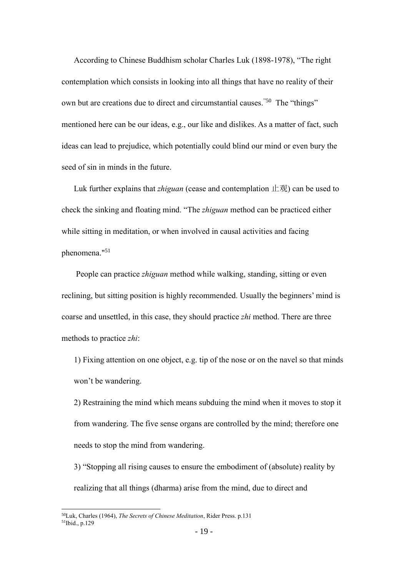According to Chinese Buddhism scholar Charles Luk (1898-1978), "The right contemplation which consists in looking into all things that have no reality of their own but are creations due to direct and circumstantial causes."50 The "things" mentioned here can be our ideas, e.g., our like and dislikes. As a matter of fact, such ideas can lead to prejudice, which potentially could blind our mind or even bury the seed of sin in minds in the future.

Luk further explains that *zhiguan* (cease and contemplation 止观) can be used to check the sinking and floating mind. "The *zhiguan* method can be practiced either while sitting in meditation, or when involved in causal activities and facing phenomena."<sup>51</sup>

People can practice *zhiguan* method while walking, standing, sitting or even reclining, but sitting position is highly recommended. Usually the beginners' mind is coarse and unsettled, in this case, they should practice *zhi* method. There are three methods to practice *zhi*:

1) Fixing attention on one object, e.g. tip of the nose or on the navel so that minds won't be wandering.

2) Restraining the mind which means subduing the mind when it moves to stop it from wandering. The five sense organs are controlled by the mind; therefore one needs to stop the mind from wandering.

3) "Stopping all rising causes to ensure the embodiment of (absolute) reality by realizing that all things (dharma) arise from the mind, due to direct and

<sup>50</sup>Luk, Charles (1964), *The Secrets of Chinese Meditation*, Rider Press. p.131

<sup>51</sup>Ibid., p.129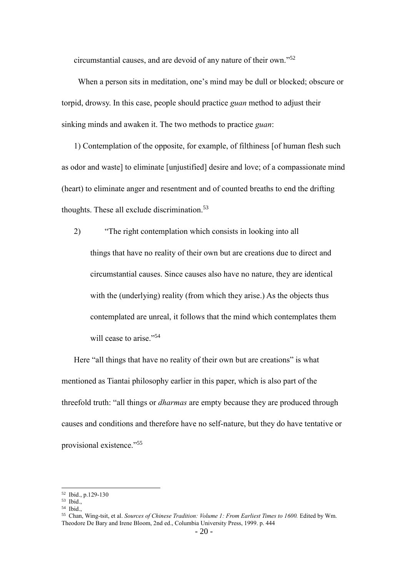circumstantial causes, and are devoid of any nature of their own." 52

When a person sits in meditation, one's mind may be dull or blocked; obscure or torpid, drowsy. In this case, people should practice *guan* method to adjust their sinking minds and awaken it. The two methods to practice *guan*:

1) Contemplation of the opposite, for example, of filthiness [of human flesh such as odor and waste] to eliminate [unjustified] desire and love; of a compassionate mind (heart) to eliminate anger and resentment and of counted breaths to end the drifting thoughts. These all exclude discrimination.<sup>53</sup>

2) "The right contemplation which consists in looking into all things that have no reality of their own but are creations due to direct and circumstantial causes. Since causes also have no nature, they are identical with the (underlying) reality (from which they arise.) As the objects thus contemplated are unreal, it follows that the mind which contemplates them will cease to arise."<sup>54</sup>

Here "all things that have no reality of their own but are creations" is what mentioned as Tiantai philosophy earlier in this paper, which is also part of the threefold truth: "all things or *dharmas* are empty because they are produced through causes and conditions and therefore have no self-nature, but they do have tentative or provisional existence." 55

<sup>52</sup> Ibid., p.129-130

<sup>53</sup> Ibid.,

<sup>54</sup> Ibid.,

<sup>55</sup> Chan, Wing-tsit, et al. *Sources of Chinese Tradition: Volume 1: From Earliest Times to 1600.* Edited by Wm. Theodore De Bary and Irene Bloom, 2nd ed., Columbia University Press, 1999. p. 444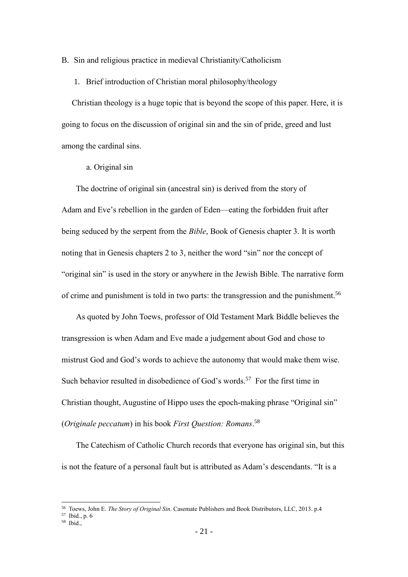<span id="page-27-1"></span><span id="page-27-0"></span>B. Sin and religious practice in medieval Christianity/Catholicism

1. Brief introduction of Christian moral philosophy/theology

Christian theology is a huge topic that is beyond the scope of this paper. Here, it is going to focus on the discussion of original sin and the sin of pride, greed and lust among the cardinal sins.

a. Original sin

The doctrine of original sin (ancestral sin) is derived from the story of Adam and Eve's rebellion in the garden of Eden—eating the forbidden fruit after being seduced by the serpent from the *Bible*, Book of Genesis chapter 3. It is worth noting that in Genesis chapters 2 to 3, neither the word "sin" nor the concept of "original sin" is used in the story or anywhere in the Jewish Bible. The narrative form of crime and punishment is told in two parts: the transgression and the punishment.<sup>56</sup>

As quoted by John Toews, professor of Old Testament Mark Biddle believes the transgression is when Adam and Eve made a judgement about God and chose to mistrust God and God's words to achieve the autonomy that would make them wise. Such behavior resulted in disobedience of God's words. <sup>57</sup> For the first time in Christian thought, Augustine of Hippo uses the epoch-making phrase "Original sin" (*Originale peccatum*) in his book *First Question: Romans*. 58

The Catechism of Catholic Church records that everyone has original sin, but this is not the feature of a personal fault but is attributed as Adam's descendants. "It is a

<sup>56</sup> Toews, John E. *The Story of Original Sin*. Casemate Publishers and Book Distributors, LLC, 2013. p.4

<sup>57</sup> Ibid., p. 6

<sup>58</sup> Ibid.,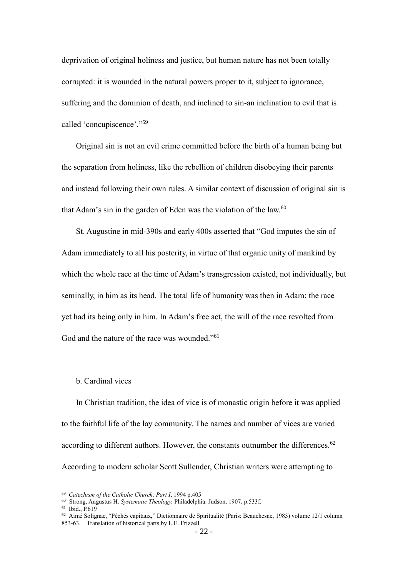deprivation of original holiness and justice, but human nature has not been totally corrupted: it is wounded in the natural powers proper to it, subject to ignorance, suffering and the dominion of death, and inclined to sin-an inclination to evil that is called 'concupiscence'."<sup>59</sup>

Original sin is not an evil crime committed before the birth of a human being but the separation from holiness, like the rebellion of children disobeying their parents and instead following their own rules. A similar context of discussion of original sin is that Adam's sin in the garden of Eden was the violation of the law.<sup>60</sup>

St. Augustine in mid-390s and early 400s asserted that "God imputes the sin of Adam immediately to all his posterity, in virtue of that organic unity of mankind by which the whole race at the time of Adam's transgression existed, not individually, but seminally, in him as its head. The total life of humanity was then in Adam: the race yet had its being only in him. In Adam's free act, the will of the race revolted from God and the nature of the race was wounded."<sup>61</sup>

## b. Cardinal vices

In Christian tradition, the idea of vice is of monastic origin before it was applied to the faithful life of the lay community. The names and number of vices are varied according to different authors. However, the constants outnumber the differences.<sup>62</sup> According to modern scholar Scott Sullender, Christian writers were attempting to

<sup>61</sup> Ibid., P.619

<sup>59</sup> *Catechism of the Catholic Church, Part I*, 1994 p.405

<sup>60</sup> Strong, Augustus H. *Systematic Theology.* Philadelphia: Judson, 1907. p.533f.

<sup>62</sup> Aimé Solignac, "Péchés capitaux," Dictionnaire de Spiritualité (Paris: Beauchesne, 1983) volume 12/1 column 853-63. Translation of historical parts by L.E. Frizzell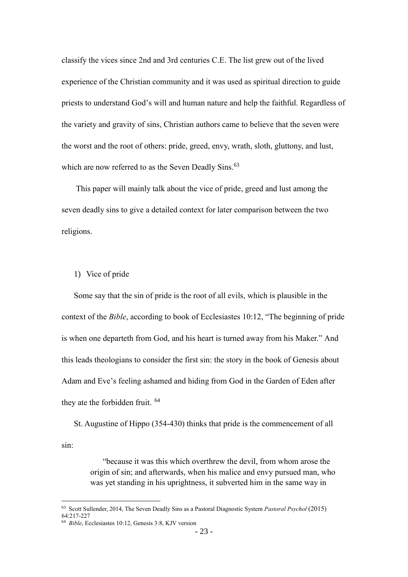classify the vices since 2nd and 3rd centuries C.E. The list grew out of the lived experience of the Christian community and it was used as spiritual direction to guide priests to understand God's will and human nature and help the faithful. Regardless of the variety and gravity of sins, Christian authors came to believe that the seven were the worst and the root of others: pride, greed, envy, wrath, sloth, gluttony, and lust, which are now referred to as the Seven Deadly Sins.<sup>63</sup>

This paper will mainly talk about the vice of pride, greed and lust among the seven deadly sins to give a detailed context for later comparison between the two religions.

## 1) Vice of pride

Some say that the sin of pride is the root of all evils, which is plausible in the context of the *Bible*, according to book of Ecclesiastes 10:12, "The beginning of pride is when one departeth from God, and his heart is turned away from his Maker." And this leads theologians to consider the first sin: the story in the book of Genesis about Adam and Eve's feeling ashamed and hiding from God in the Garden of Eden after they ate the forbidden fruit. <sup>64</sup>

St. Augustine of Hippo (354-430) thinks that pride is the commencement of all sin:

> "because it was this which overthrew the devil, from whom arose the origin of sin; and afterwards, when his malice and envy pursued man, who was yet standing in his uprightness, it subverted him in the same way in

l

<sup>63</sup> Scott Sullender, 2014, The Seven Deadly Sins as a Pastoral Diagnostic System *Pastoral Psychol* (2015) 64:217-227

<sup>64</sup> *Bible*, Ecclesiastes 10:12, Genesis 3:8, KJV version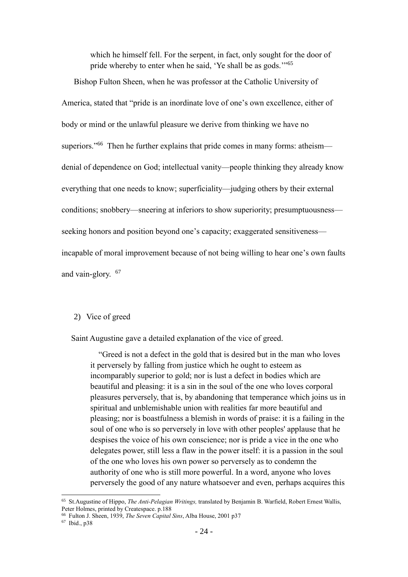which he himself fell. For the serpent, in fact, only sought for the door of pride whereby to enter when he said, 'Ye shall be as gods."<sup>65</sup>

Bishop Fulton Sheen, when he was professor at the Catholic University of America, stated that "pride is an inordinate love of one's own excellence, either of body or mind or the unlawful pleasure we derive from thinking we have no superiors."<sup>66</sup> Then he further explains that pride comes in many forms: atheismdenial of dependence on God; intellectual vanity—people thinking they already know everything that one needs to know; superficiality—judging others by their external conditions; snobbery—sneering at inferiors to show superiority; presumptuousness seeking honors and position beyond one's capacity; exaggerated sensitiveness incapable of moral improvement because of not being willing to hear one's own faults and vain-glory. <sup>67</sup>

#### 2) Vice of greed

Saint Augustine gave a detailed explanation of the vice of greed.

"Greed is not a defect in the gold that is desired but in the man who loves it perversely by falling from justice which he ought to esteem as incomparably superior to gold; nor is lust a defect in bodies which are beautiful and pleasing: it is a sin in the soul of the one who loves corporal pleasures perversely, that is, by abandoning that temperance which joins us in spiritual and unblemishable union with realities far more beautiful and pleasing; nor is boastfulness a blemish in words of praise: it is a failing in the soul of one who is so perversely in love with other peoples' applause that he despises the voice of his own conscience; nor is pride a vice in the one who delegates power, still less a flaw in the power itself: it is a passion in the soul of the one who loves his own power so perversely as to condemn the authority of one who is still more powerful. In a word, anyone who loves perversely the good of any nature whatsoever and even, perhaps acquires this

<sup>65</sup> St.Augustine of Hippo, *The Anti-Pelagian Writings,* translated by Benjamin B. Warfield, Robert Ernest Wallis, Peter Holmes, printed by Createspace. p.188

<sup>66</sup> Fulton J. Sheen, 1939, *The Seven Capital Sins*, Alba House, 2001 p37

<sup>67</sup> Ibid., p38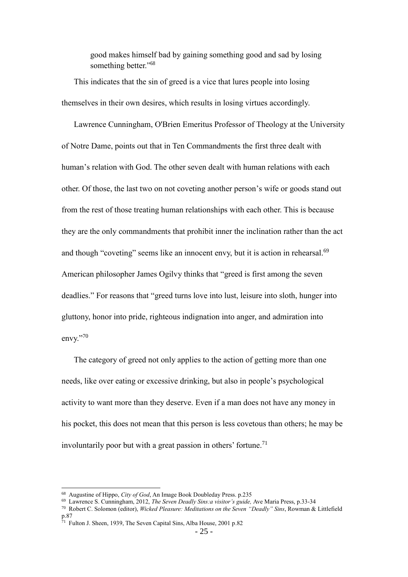good makes himself bad by gaining something good and sad by losing something better."<sup>68</sup>

This indicates that the sin of greed is a vice that lures people into losing themselves in their own desires, which results in losing virtues accordingly.

Lawrence Cunningham, O'Brien Emeritus Professor of Theology at the University of Notre Dame, points out that in Ten Commandments the first three dealt with human's relation with God. The other seven dealt with human relations with each other. Of those, the last two on not coveting another person's wife or goods stand out from the rest of those treating human relationships with each other. This is because they are the only commandments that prohibit inner the inclination rather than the act and though "coveting" seems like an innocent envy, but it is action in rehearsal.<sup>69</sup> American philosopher James Ogilvy thinks that "greed is first among the seven deadlies." For reasons that "greed turns love into lust, leisure into sloth, hunger into gluttony, honor into pride, righteous indignation into anger, and admiration into envy."70

The category of greed not only applies to the action of getting more than one needs, like over eating or excessive drinking, but also in people's psychological activity to want more than they deserve. Even if a man does not have any money in his pocket, this does not mean that this person is less covetous than others; he may be involuntarily poor but with a great passion in others' fortune.<sup>71</sup>

<sup>68</sup> Augustine of Hippo, *City of God*, An Image Book Doubleday Press. p.235

<sup>69</sup> Lawrence S. Cunningham, 2012, *The Seven Deadly Sins:a visitor's guide,* Ave Maria Press, p.33-34

<sup>70</sup> Robert C. Solomon (editor), *Wicked Pleasure: Meditations on the Seven "Deadly" Sins*, Rowman & Littlefield p.87

<sup>71</sup> Fulton J. Sheen, 1939, The Seven Capital Sins, Alba House, 2001 p.82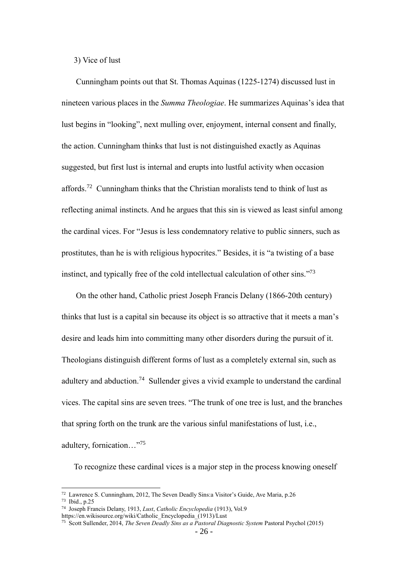3) Vice of lust

Cunningham points out that St. Thomas Aquinas (1225-1274) discussed lust in nineteen various places in the *Summa Theologiae*. He summarizes Aquinas's idea that lust begins in "looking", next mulling over, enjoyment, internal consent and finally, the action. Cunningham thinks that lust is not distinguished exactly as Aquinas suggested, but first lust is internal and erupts into lustful activity when occasion affords.<sup>72</sup> Cunningham thinks that the Christian moralists tend to think of lust as reflecting animal instincts. And he argues that this sin is viewed as least sinful among the cardinal vices. For "Jesus is less condemnatory relative to public sinners, such as prostitutes, than he is with religious hypocrites." Besides, it is "a twisting of a base instinct, and typically free of the cold intellectual calculation of other sins."<sup>73</sup>

On the other hand, Catholic priest Joseph Francis Delany (1866-20th century) thinks that lust is a capital sin because its object is so attractive that it meets a man's desire and leads him into committing many other disorders during the pursuit of it. Theologians distinguish different forms of lust as a completely external sin, such as adultery and abduction.<sup>74</sup> Sullender gives a vivid example to understand the cardinal vices. The capital sins are seven trees. "The trunk of one tree is lust, and the branches that spring forth on the trunk are the various sinful manifestations of lust, i.e., adultery, fornication…"<sup>75</sup>

To recognize these cardinal vices is a major step in the process knowing oneself

<sup>72</sup> Lawrence S. Cunningham, 2012, The Seven Deadly Sins:a Visitor's Guide, Ave Maria, p.26

<sup>73</sup> Ibid., p.25

<sup>74</sup> Joseph Francis Delany, 1913, *Lust*, *Catholic Encyclopedia* (1913), Vol.9

https://en.wikisource.org/wiki/Catholic\_Encyclopedia\_(1913)/Lust

<sup>75</sup> Scott Sullender, 2014, *The Seven Deadly Sins as a Pastoral Diagnostic System* Pastoral Psychol (2015)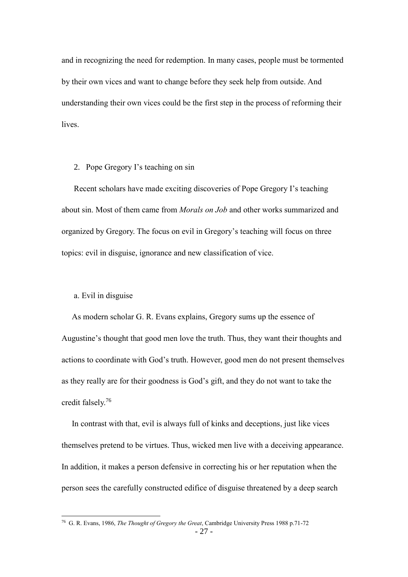and in recognizing the need for redemption. In many cases, people must be tormented by their own vices and want to change before they seek help from outside. And understanding their own vices could be the first step in the process of reforming their lives.

#### <span id="page-33-0"></span>2. Pope Gregory I's teaching on sin

Recent scholars have made exciting discoveries of Pope Gregory I's teaching about sin. Most of them came from *Morals on Job* and other works summarized and organized by Gregory. The focus on evil in Gregory's teaching will focus on three topics: evil in disguise, ignorance and new classification of vice.

#### a. Evil in disguise

 $\overline{a}$ 

As modern scholar G. R. Evans explains, Gregory sums up the essence of Augustine's thought that good men love the truth. Thus, they want their thoughts and actions to coordinate with God's truth. However, good men do not present themselves as they really are for their goodness is God's gift, and they do not want to take the credit falsely.<sup>76</sup>

In contrast with that, evil is always full of kinks and deceptions, just like vices themselves pretend to be virtues. Thus, wicked men live with a deceiving appearance. In addition, it makes a person defensive in correcting his or her reputation when the person sees the carefully constructed edifice of disguise threatened by a deep search

<sup>76</sup> G. R. Evans, 1986, *The Thought of Gregory the Great*, Cambridge University Press 1988 p.71-72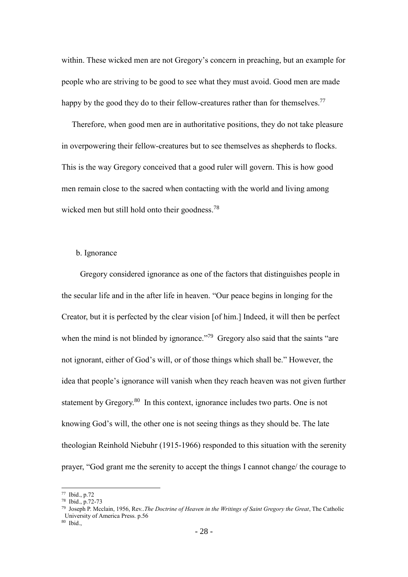within. These wicked men are not Gregory's concern in preaching, but an example for people who are striving to be good to see what they must avoid. Good men are made happy by the good they do to their fellow-creatures rather than for themselves.<sup>77</sup>

Therefore, when good men are in authoritative positions, they do not take pleasure in overpowering their fellow-creatures but to see themselves as shepherds to flocks. This is the way Gregory conceived that a good ruler will govern. This is how good men remain close to the sacred when contacting with the world and living among wicked men but still hold onto their goodness.<sup>78</sup>

### b. Ignorance

Gregory considered ignorance as one of the factors that distinguishes people in the secular life and in the after life in heaven. "Our peace begins in longing for the Creator, but it is perfected by the clear vision [of him.] Indeed, it will then be perfect when the mind is not blinded by ignorance."<sup>79</sup> Gregory also said that the saints "are not ignorant, either of God's will, or of those things which shall be." However, the idea that people's ignorance will vanish when they reach heaven was not given further statement by Gregory.<sup>80</sup> In this context, ignorance includes two parts. One is not knowing God's will, the other one is not seeing things as they should be. The late theologian Reinhold Niebuhr (1915-1966) responded to this situation with the serenity prayer, "God grant me the serenity to accept the things I cannot change/ the courage to

<sup>77</sup> Ibid., p.72

<sup>78</sup> Ibid., p.72-73

<sup>79</sup> Joseph P. Mcclain, 1956, Rev..*The Doctrine of Heaven in the Writings of Saint Gregory the Great*, The Catholic University of America Press. p.56

<sup>80</sup> Ibid.,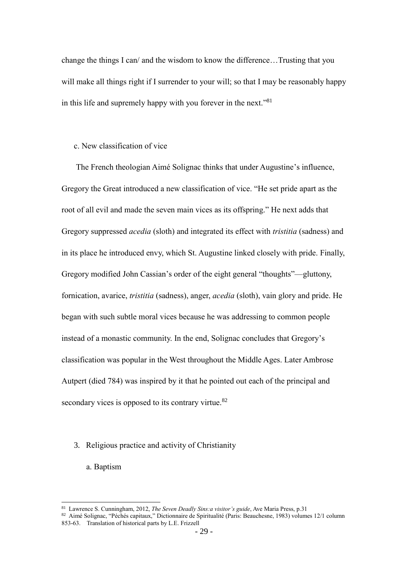change the things I can/ and the wisdom to know the difference…Trusting that you will make all things right if I surrender to your will; so that I may be reasonably happy in this life and supremely happy with you forever in the next."<sup>81</sup>

## c. New classification of vice

The French theologian Aimé Solignac thinks that under Augustine's influence, Gregory the Great introduced a new classification of vice. "He set pride apart as the root of all evil and made the seven main vices as its offspring." He next adds that Gregory suppressed *acedia* (sloth) and integrated its effect with *tristitia* (sadness) and in its place he introduced envy, which St. Augustine linked closely with pride. Finally, Gregory modified John Cassian's order of the eight general "thoughts"—gluttony, fornication, avarice, *tristitia* (sadness), anger, *acedia* (sloth), vain glory and pride. He began with such subtle moral vices because he was addressing to common people instead of a monastic community. In the end, Solignac concludes that Gregory's classification was popular in the West throughout the Middle Ages. Later Ambrose Autpert (died 784) was inspired by it that he pointed out each of the principal and secondary vices is opposed to its contrary virtue.<sup>82</sup>

#### <span id="page-35-0"></span>3. Religious practice and activity of Christianity

a. Baptism

<sup>81</sup> Lawrence S. Cunningham, 2012, *The Seven Deadly Sins:a visitor's guide*, Ave Maria Press, p.31

<sup>82</sup> Aimé Solignac, "Péchés capitaux," Dictionnaire de Spiritualité (Paris: Beauchesne, 1983) volumes 12/1 column 853-63. Translation of historical parts by L.E. Frizzell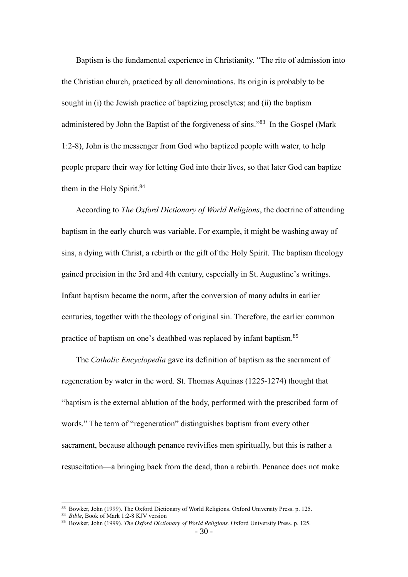Baptism is the fundamental experience in Christianity. "The rite of admission into the Christian church, practiced by all denominations. Its origin is probably to be sought in (i) the Jewish practice of baptizing proselytes; and (ii) the baptism administered by John the Baptist of the forgiveness of sins."<sup>83</sup> In the Gospel (Mark 1:2-8), John is the messenger from God who baptized people with water, to help people prepare their way for letting God into their lives, so that later God can baptize them in the Holy Spirit.<sup>84</sup>

According to *The Oxford Dictionary of World Religions*, the doctrine of attending baptism in the early church was variable. For example, it might be washing away of sins, a dying with Christ, a rebirth or the gift of the Holy Spirit. The baptism theology gained precision in the 3rd and 4th century, especially in St. Augustine's writings. Infant baptism became the norm, after the conversion of many adults in earlier centuries, together with the theology of original sin. Therefore, the earlier common practice of baptism on one's deathbed was replaced by infant baptism.<sup>85</sup>

The *Catholic Encyclopedia* gave its definition of baptism as the sacrament of regeneration by water in the word. St. Thomas Aquinas (1225-1274) thought that "baptism is the external ablution of the body, performed with the prescribed form of words." The term of "regeneration" distinguishes baptism from every other sacrament, because although penance revivifies men spiritually, but this is rather a resuscitation—a bringing back from the dead, than a rebirth. Penance does not make

<sup>83</sup> Bowker, John (1999). The Oxford Dictionary of World Religions. Oxford University Press. p. 125.

<sup>84</sup> *Bible*, Book of Mark 1:2-8 KJV version

<sup>85</sup> Bowker, John (1999). *The Oxford Dictionary of World Religions.* Oxford University Press. p. 125.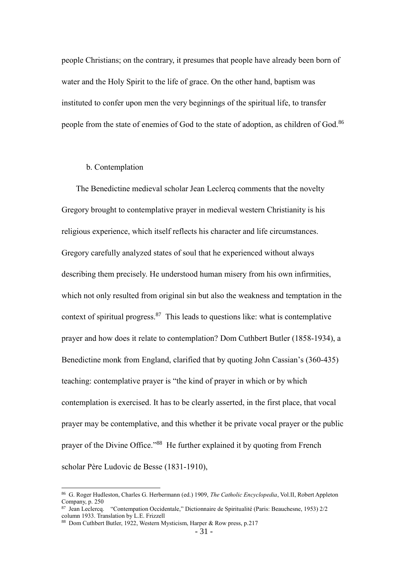people Christians; on the contrary, it presumes that people have already been born of water and the Holy Spirit to the life of grace. On the other hand, baptism was instituted to confer upon men the very beginnings of the spiritual life, to transfer people from the state of enemies of God to the state of adoption, as children of God.<sup>86</sup>

#### b. Contemplation

The Benedictine medieval scholar Jean Leclercq comments that the novelty Gregory brought to contemplative prayer in medieval western Christianity is his religious experience, which itself reflects his character and life circumstances. Gregory carefully analyzed states of soul that he experienced without always describing them precisely. He understood human misery from his own infirmities, which not only resulted from original sin but also the weakness and temptation in the context of spiritual progress. $87$  This leads to questions like: what is contemplative prayer and how does it relate to contemplation? Dom Cuthbert Butler (1858-1934), a Benedictine monk from England, clarified that by quoting John Cassian's (360-435) teaching: contemplative prayer is "the kind of prayer in which or by which contemplation is exercised. It has to be clearly asserted, in the first place, that vocal prayer may be contemplative, and this whether it be private vocal prayer or the public prayer of the Divine Office."<sup>88</sup> He further explained it by quoting from French scholar Père Ludovic de Besse (1831-1910),

<sup>86</sup> G. Roger Hudleston, Charles G. Herbermann (ed.) 1909, *The Catholic Encyclopedia*, Vol.II, Robert Appleton Company, p. 250

<sup>87</sup> Jean Leclercq. "Contempation Occidentale," Dictionnaire de Spiritualité (Paris: Beauchesne, 1953) 2/2 column 1933. Translation by L.E. Frizzell

<sup>88</sup> Dom Cuthbert Butler, 1922, Western Mysticism, Harper & Row press, p.217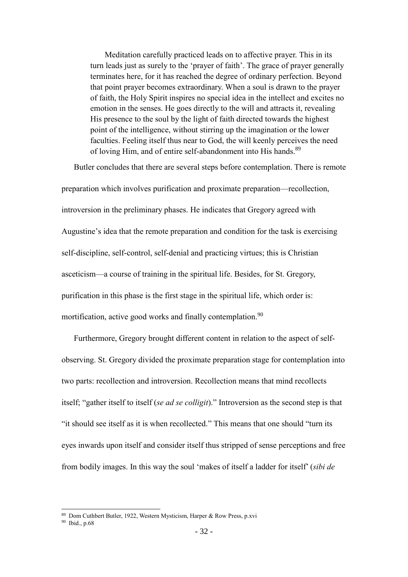Meditation carefully practiced leads on to affective prayer. This in its turn leads just as surely to the 'prayer of faith'. The grace of prayer generally terminates here, for it has reached the degree of ordinary perfection. Beyond that point prayer becomes extraordinary. When a soul is drawn to the prayer of faith, the Holy Spirit inspires no special idea in the intellect and excites no emotion in the senses. He goes directly to the will and attracts it, revealing His presence to the soul by the light of faith directed towards the highest point of the intelligence, without stirring up the imagination or the lower faculties. Feeling itself thus near to God, the will keenly perceives the need of loving Him, and of entire self-abandonment into His hands.<sup>89</sup>

Butler concludes that there are several steps before contemplation. There is remote preparation which involves purification and proximate preparation—recollection, introversion in the preliminary phases. He indicates that Gregory agreed with Augustine's idea that the remote preparation and condition for the task is exercising self-discipline, self-control, self-denial and practicing virtues; this is Christian asceticism—a course of training in the spiritual life. Besides, for St. Gregory, purification in this phase is the first stage in the spiritual life, which order is: mortification, active good works and finally contemplation.<sup>90</sup>

Furthermore, Gregory brought different content in relation to the aspect of selfobserving. St. Gregory divided the proximate preparation stage for contemplation into two parts: recollection and introversion. Recollection means that mind recollects itself; "gather itself to itself (*se ad se colligit*)." Introversion as the second step is that "it should see itself as it is when recollected." This means that one should "turn its eyes inwards upon itself and consider itself thus stripped of sense perceptions and free from bodily images. In this way the soul 'makes of itself a ladder for itself' (*sibi de* 

<sup>89</sup> Dom Cuthbert Butler, 1922, Western Mysticism, Harper & Row Press, p.xvi

<sup>90</sup> Ibid., p.68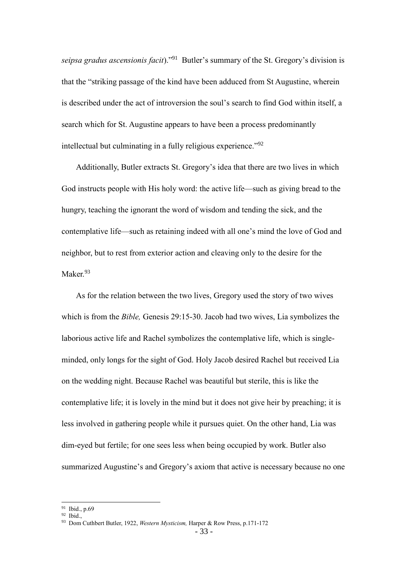*seipsa gradus ascensionis facit*)." <sup>91</sup> Butler's summary of the St. Gregory's division is that the "striking passage of the kind have been adduced from St Augustine, wherein is described under the act of introversion the soul's search to find God within itself, a search which for St. Augustine appears to have been a process predominantly intellectual but culminating in a fully religious experience."<sup>92</sup>

Additionally, Butler extracts St. Gregory's idea that there are two lives in which God instructs people with His holy word: the active life—such as giving bread to the hungry, teaching the ignorant the word of wisdom and tending the sick, and the contemplative life—such as retaining indeed with all one's mind the love of God and neighbor, but to rest from exterior action and cleaving only to the desire for the Maker.<sup>93</sup>

As for the relation between the two lives, Gregory used the story of two wives which is from the *Bible,* Genesis 29:15-30. Jacob had two wives, Lia symbolizes the laborious active life and Rachel symbolizes the contemplative life, which is singleminded, only longs for the sight of God. Holy Jacob desired Rachel but received Lia on the wedding night. Because Rachel was beautiful but sterile, this is like the contemplative life; it is lovely in the mind but it does not give heir by preaching; it is less involved in gathering people while it pursues quiet. On the other hand, Lia was dim-eyed but fertile; for one sees less when being occupied by work. Butler also summarized Augustine's and Gregory's axiom that active is necessary because no one

<sup>91</sup> Ibid., p.69 <sup>92</sup> Ibid.,

<sup>93</sup> Dom Cuthbert Butler, 1922, *Western Mysticism,* Harper & Row Press, p.171-172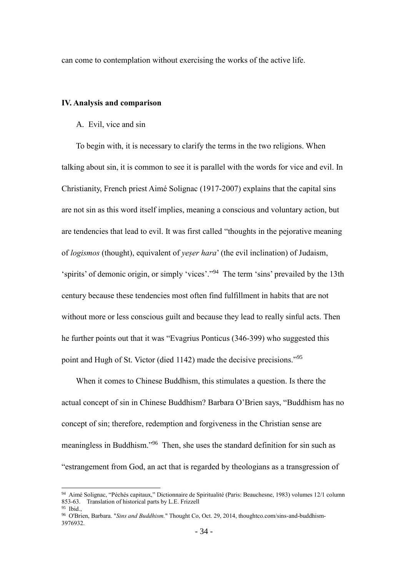can come to contemplation without exercising the works of the active life.

## <span id="page-40-1"></span><span id="page-40-0"></span>**IV. Analysis and comparison**

## A. Evil, vice and sin

To begin with, it is necessary to clarify the terms in the two religions. When talking about sin, it is common to see it is parallel with the words for vice and evil. In Christianity, French priest Aimé Solignac (1917-2007) explains that the capital sins are not sin as this word itself implies, meaning a conscious and voluntary action, but are tendencies that lead to evil. It was first called "thoughts in the pejorative meaning of *logismos* (thought), equivalent of *yeṣer hara*' (the evil inclination) of Judaism, 'spirits' of demonic origin, or simply 'vices'."<sup>94</sup> The term 'sins' prevailed by the 13th century because these tendencies most often find fulfillment in habits that are not without more or less conscious guilt and because they lead to really sinful acts. Then he further points out that it was "Evagrius Ponticus (346-399) who suggested this point and Hugh of St. Victor (died 1142) made the decisive precisions."<sup>95</sup>

When it comes to Chinese Buddhism, this stimulates a question. Is there the actual concept of sin in Chinese Buddhism? Barbara O'Brien says, "Buddhism has no concept of sin; therefore, redemption and forgiveness in the Christian sense are meaningless in Buddhism."<sup>96</sup> Then, she uses the standard definition for sin such as "estrangement from God, an act that is regarded by theologians as a transgression of

<sup>94</sup> Aimé Solignac, "Péchés capitaux," Dictionnaire de Spiritualité (Paris: Beauchesne, 1983) volumes 12/1 column 853-63. Translation of historical parts by L.E. Frizzell

 $95$  Ibid.,

<sup>96</sup> O'Brien, Barbara. "*Sins and Buddhism.*" Thought Co, Oct. 29, 2014, thoughtco.com/sins-and-buddhism-3976932.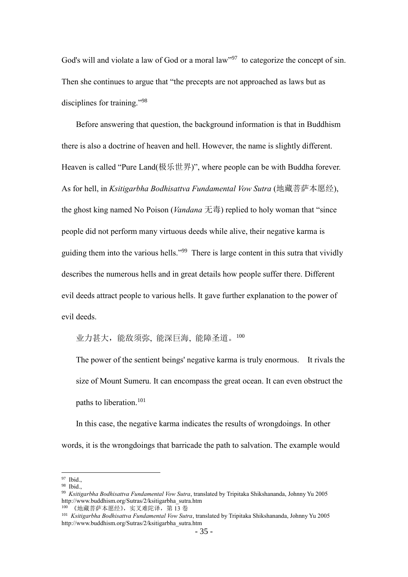God's will and violate a law of God or a moral law"<sup>97</sup> to categorize the concept of sin. Then she continues to argue that "the precepts are not approached as laws but as disciplines for training."<sup>98</sup>

Before answering that question, the background information is that in Buddhism there is also a doctrine of heaven and hell. However, the name is slightly different. Heaven is called "Pure Land(极乐世界)", where people can be with Buddha forever. As for hell, in *Ksitigarbha Bodhisattva Fundamental Vow Sutra* (地藏菩萨本愿经), the ghost king named No Poison (*Vandana* 无毒) replied to holy woman that "since people did not perform many virtuous deeds while alive, their negative karma is guiding them into the various hells."<sup>99</sup> There is large content in this sutra that vividly describes the numerous hells and in great details how people suffer there. Different evil deeds attract people to various hells. It gave further explanation to the power of evil deeds.

业力甚大,能敌须弥, 能深巨海, 能障圣道。<sup>100</sup>

The power of the sentient beings' negative karma is truly enormous. It rivals the size of Mount Sumeru. It can encompass the great ocean. It can even obstruct the paths to liberation.<sup>101</sup>

In this case, the negative karma indicates the results of wrongdoings. In other words, it is the wrongdoings that barricade the path to salvation. The example would

<sup>97</sup> Ibid.,

<sup>98</sup> Ibid.,

<sup>99</sup> *Ksitigarbha Bodhisattva Fundamental Vow Sutra*, translated by Tripitaka Shikshananda, Johnny Yu 2005 http://www.buddhism.org/Sutras/2/ksitigarbha\_sutra.htm

<sup>100 《</sup>地藏菩萨本愿经》,实又难陀译,第 13 卷

<sup>101</sup> *Ksitigarbha Bodhisattva Fundamental Vow Sutra*, translated by Tripitaka Shikshananda, Johnny Yu 2005 http://www.buddhism.org/Sutras/2/ksitigarbha\_sutra.htm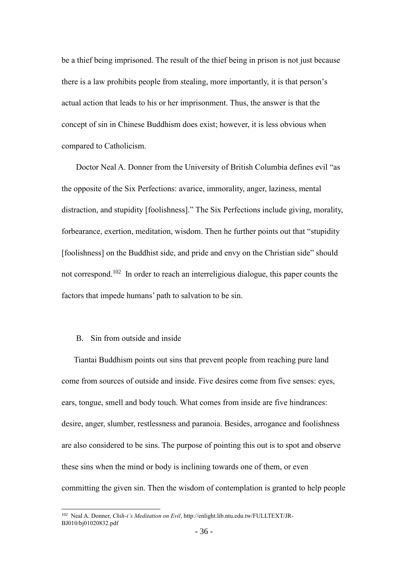be a thief being imprisoned. The result of the thief being in prison is not just because there is a law prohibits people from stealing, more importantly, it is that person's actual action that leads to his or her imprisonment. Thus, the answer is that the concept of sin in Chinese Buddhism does exist; however, it is less obvious when compared to Catholicism.

Doctor Neal A. Donner from the University of British Columbia defines evil "as the opposite of the Six Perfections: avarice, immorality, anger, laziness, mental distraction, and stupidity [foolishness]." The Six Perfections include giving, morality, forbearance, exertion, meditation, wisdom. Then he further points out that "stupidity [foolishness] on the Buddhist side, and pride and envy on the Christian side" should not correspond.<sup>102</sup> In order to reach an interreligious dialogue, this paper counts the factors that impede humans' path to salvation to be sin.

## <span id="page-42-0"></span>B. Sin from outside and inside

 $\overline{a}$ 

Tiantai Buddhism points out sins that prevent people from reaching pure land come from sources of outside and inside. Five desires come from five senses: eyes, ears, tongue, smell and body touch. What comes from inside are five hindrances: desire, anger, slumber, restlessness and paranoia. Besides, arrogance and foolishness are also considered to be sins. The purpose of pointing this out is to spot and observe these sins when the mind or body is inclining towards one of them, or even committing the given sin. Then the wisdom of contemplation is granted to help people

<sup>102</sup> Neal A. Donner, *Chih-i's Meditation on Evil*, http://enlight.lib.ntu.edu.tw/FULLTEXT/JR-BJ010/bj01020832.pdf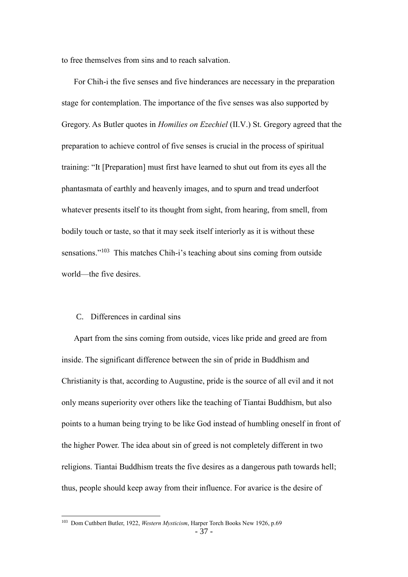to free themselves from sins and to reach salvation.

For Chih-i the five senses and five hinderances are necessary in the preparation stage for contemplation. The importance of the five senses was also supported by Gregory. As Butler quotes in *Homilies on Ezechiel* (Ⅱ.Ⅴ.) St. Gregory agreed that the preparation to achieve control of five senses is crucial in the process of spiritual training: "It [Preparation] must first have learned to shut out from its eyes all the phantasmata of earthly and heavenly images, and to spurn and tread underfoot whatever presents itself to its thought from sight, from hearing, from smell, from bodily touch or taste, so that it may seek itself interiorly as it is without these sensations."<sup>103</sup> This matches Chih-i's teaching about sins coming from outside world—the five desires.

## <span id="page-43-0"></span>C. Differences in cardinal sins

 $\overline{a}$ 

Apart from the sins coming from outside, vices like pride and greed are from inside. The significant difference between the sin of pride in Buddhism and Christianity is that, according to Augustine, pride is the source of all evil and it not only means superiority over others like the teaching of Tiantai Buddhism, but also points to a human being trying to be like God instead of humbling oneself in front of the higher Power. The idea about sin of greed is not completely different in two religions. Tiantai Buddhism treats the five desires as a dangerous path towards hell; thus, people should keep away from their influence. For avarice is the desire of

<sup>103</sup> Dom Cuthbert Butler, 1922, *Western Mysticism*, Harper Torch Books New 1926, p.69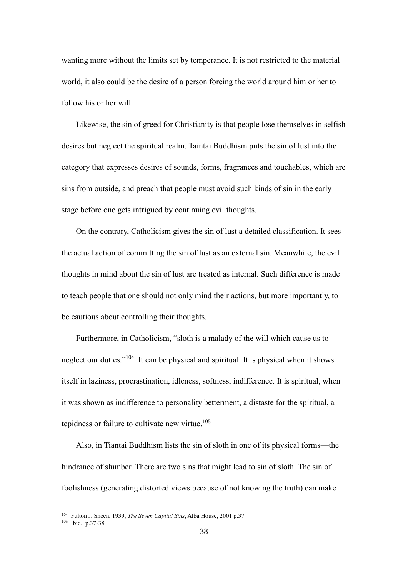wanting more without the limits set by temperance. It is not restricted to the material world, it also could be the desire of a person forcing the world around him or her to follow his or her will.

Likewise, the sin of greed for Christianity is that people lose themselves in selfish desires but neglect the spiritual realm. Taintai Buddhism puts the sin of lust into the category that expresses desires of sounds, forms, fragrances and touchables, which are sins from outside, and preach that people must avoid such kinds of sin in the early stage before one gets intrigued by continuing evil thoughts.

On the contrary, Catholicism gives the sin of lust a detailed classification. It sees the actual action of committing the sin of lust as an external sin. Meanwhile, the evil thoughts in mind about the sin of lust are treated as internal. Such difference is made to teach people that one should not only mind their actions, but more importantly, to be cautious about controlling their thoughts.

Furthermore, in Catholicism, "sloth is a malady of the will which cause us to neglect our duties."<sup>104</sup> It can be physical and spiritual. It is physical when it shows itself in laziness, procrastination, idleness, softness, indifference. It is spiritual, when it was shown as indifference to personality betterment, a distaste for the spiritual, a tepidness or failure to cultivate new virtue. $105$ 

Also, in Tiantai Buddhism lists the sin of sloth in one of its physical forms—the hindrance of slumber. There are two sins that might lead to sin of sloth. The sin of foolishness (generating distorted views because of not knowing the truth) can make

<sup>104</sup> Fulton J. Sheen, 1939, *The Seven Capital Sins*, Alba House, 2001 p.37

<sup>105</sup> Ibid., p.37-38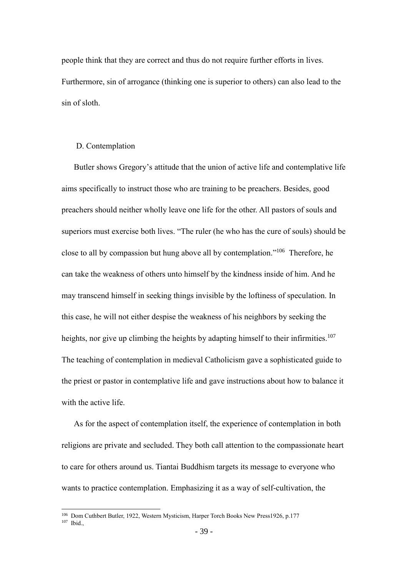people think that they are correct and thus do not require further efforts in lives. Furthermore, sin of arrogance (thinking one is superior to others) can also lead to the sin of sloth.

#### <span id="page-45-0"></span>D. Contemplation

 $\overline{a}$ 

Butler shows Gregory's attitude that the union of active life and contemplative life aims specifically to instruct those who are training to be preachers. Besides, good preachers should neither wholly leave one life for the other. All pastors of souls and superiors must exercise both lives. "The ruler (he who has the cure of souls) should be close to all by compassion but hung above all by contemplation." <sup>106</sup> Therefore, he can take the weakness of others unto himself by the kindness inside of him. And he may transcend himself in seeking things invisible by the loftiness of speculation. In this case, he will not either despise the weakness of his neighbors by seeking the heights, nor give up climbing the heights by adapting himself to their infirmities.<sup>107</sup> The teaching of contemplation in medieval Catholicism gave a sophisticated guide to the priest or pastor in contemplative life and gave instructions about how to balance it with the active life.

As for the aspect of contemplation itself, the experience of contemplation in both religions are private and secluded. They both call attention to the compassionate heart to care for others around us. Tiantai Buddhism targets its message to everyone who wants to practice contemplation. Emphasizing it as a way of self-cultivation, the

<sup>106</sup> Dom Cuthbert Butler, 1922, Western Mysticism, Harper Torch Books New Press1926, p.177  $107$  Ibid.,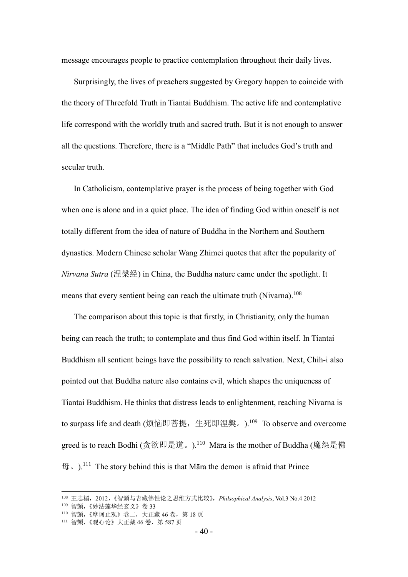message encourages people to practice contemplation throughout their daily lives.

Surprisingly, the lives of preachers suggested by Gregory happen to coincide with the theory of Threefold Truth in Tiantai Buddhism. The active life and contemplative life correspond with the worldly truth and sacred truth. But it is not enough to answer all the questions. Therefore, there is a "Middle Path" that includes God's truth and secular truth.

In Catholicism, contemplative prayer is the process of being together with God when one is alone and in a quiet place. The idea of finding God within oneself is not totally different from the idea of nature of Buddha in the Northern and Southern dynasties. Modern Chinese scholar Wang Zhimei quotes that after the popularity of *Nirvana Sutra* (涅槃经) in China, the Buddha nature came under the spotlight. It means that every sentient being can reach the ultimate truth (Nivarna).<sup>108</sup>

The comparison about this topic is that firstly, in Christianity, only the human being can reach the truth; to contemplate and thus find God within itself. In Tiantai Buddhism all sentient beings have the possibility to reach salvation. Next, Chih-i also pointed out that Buddha nature also contains evil, which shapes the uniqueness of Tiantai Buddhism. He thinks that distress leads to enlightenment, reaching Nivarna is to surpass life and death (烦恼即菩提,生死即涅槃。). $^{109}$  To observe and overcome greed is to reach Bodhi (贪欲即是道。). $^{110}$  Māra is the mother of Buddha (魔怨是佛 母。).<sup>111</sup> The story behind this is that Māra the demon is afraid that Prince

<sup>108</sup> 王志楣,2012,《智顗与吉藏佛性论之思维方式比较》,*Philsophical Analysis*, Vol.3 No.4 2012

<sup>109</sup> 智顗,《妙法莲华经玄义》卷 33

<sup>110</sup> 智顗,《摩诃止观》卷二,大正藏 46卷,第18页

<sup>111</sup> 智顗, 《观心论》大正藏 46卷, 第 587 页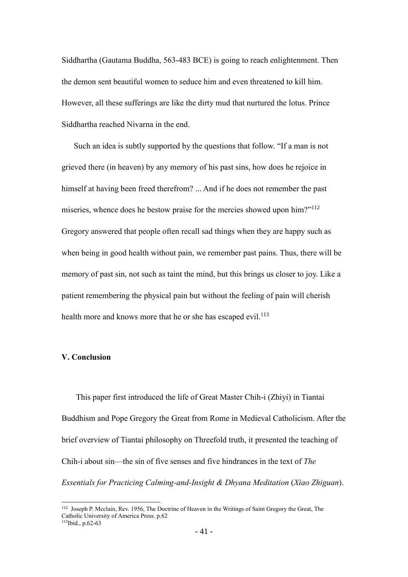Siddhartha (Gautama Buddha, 563-483 BCE) is going to reach enlightenment. Then the demon sent beautiful women to seduce him and even threatened to kill him. However, all these sufferings are like the dirty mud that nurtured the lotus. Prince Siddhartha reached Nivarna in the end.

Such an idea is subtly supported by the questions that follow. "If a man is not grieved there (in heaven) by any memory of his past sins, how does he rejoice in himself at having been freed therefrom? ... And if he does not remember the past miseries, whence does he bestow praise for the mercies showed upon him?"<sup>112</sup> Gregory answered that people often recall sad things when they are happy such as when being in good health without pain, we remember past pains. Thus, there will be memory of past sin, not such as taint the mind, but this brings us closer to joy. Like a patient remembering the physical pain but without the feeling of pain will cherish health more and knows more that he or she has escaped evil.<sup>113</sup>

## <span id="page-47-0"></span>**Ⅴ. Conclusion**

 $\overline{a}$ 

This paper first introduced the life of Great Master Chih-i (Zhiyi) in Tiantai Buddhism and Pope Gregory the Great from Rome in Medieval Catholicism. After the brief overview of Tiantai philosophy on Threefold truth, it presented the teaching of Chih-i about sin—the sin of five senses and five hindrances in the text of *The Essentials for Practicing Calming-and-Insight & Dhyana Meditation* (*Xiao Zhiguan*).

<sup>112</sup> Joseph P. Mcclain, Rev. 1956, The Doctrine of Heaven in the Writings of Saint Gregory the Great, The Catholic University of America Press. p.62 113Ibid., p.62-63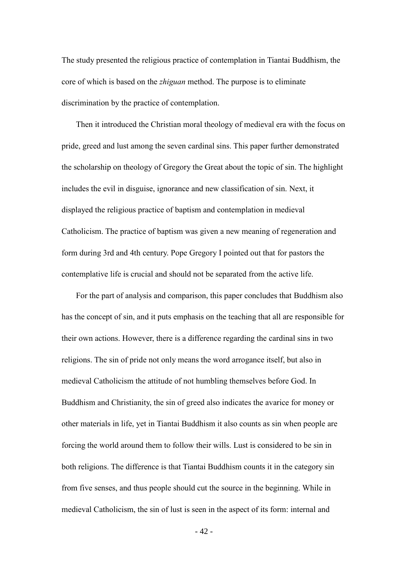The study presented the religious practice of contemplation in Tiantai Buddhism, the core of which is based on the *zhiguan* method. The purpose is to eliminate discrimination by the practice of contemplation.

Then it introduced the Christian moral theology of medieval era with the focus on pride, greed and lust among the seven cardinal sins. This paper further demonstrated the scholarship on theology of Gregory the Great about the topic of sin. The highlight includes the evil in disguise, ignorance and new classification of sin. Next, it displayed the religious practice of baptism and contemplation in medieval Catholicism. The practice of baptism was given a new meaning of regeneration and form during 3rd and 4th century. Pope Gregory I pointed out that for pastors the contemplative life is crucial and should not be separated from the active life.

For the part of analysis and comparison, this paper concludes that Buddhism also has the concept of sin, and it puts emphasis on the teaching that all are responsible for their own actions. However, there is a difference regarding the cardinal sins in two religions. The sin of pride not only means the word arrogance itself, but also in medieval Catholicism the attitude of not humbling themselves before God. In Buddhism and Christianity, the sin of greed also indicates the avarice for money or other materials in life, yet in Tiantai Buddhism it also counts as sin when people are forcing the world around them to follow their wills. Lust is considered to be sin in both religions. The difference is that Tiantai Buddhism counts it in the category sin from five senses, and thus people should cut the source in the beginning. While in medieval Catholicism, the sin of lust is seen in the aspect of its form: internal and

- 42 -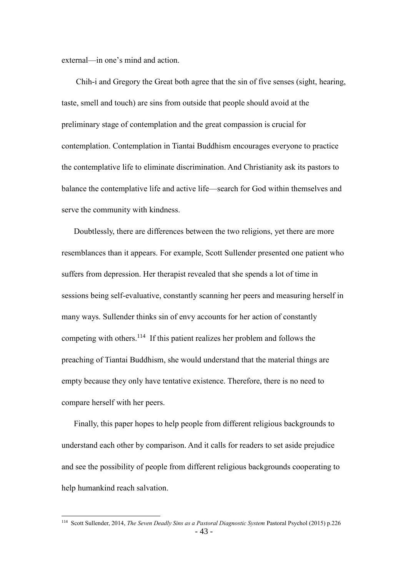external—in one's mind and action.

Chih-i and Gregory the Great both agree that the sin of five senses (sight, hearing, taste, smell and touch) are sins from outside that people should avoid at the preliminary stage of contemplation and the great compassion is crucial for contemplation. Contemplation in Tiantai Buddhism encourages everyone to practice the contemplative life to eliminate discrimination. And Christianity ask its pastors to balance the contemplative life and active life—search for God within themselves and serve the community with kindness.

Doubtlessly, there are differences between the two religions, yet there are more resemblances than it appears. For example, Scott Sullender presented one patient who suffers from depression. Her therapist revealed that she spends a lot of time in sessions being self-evaluative, constantly scanning her peers and measuring herself in many ways. Sullender thinks sin of envy accounts for her action of constantly competing with others.<sup>114</sup> If this patient realizes her problem and follows the preaching of Tiantai Buddhism, she would understand that the material things are empty because they only have tentative existence. Therefore, there is no need to compare herself with her peers.

Finally, this paper hopes to help people from different religious backgrounds to understand each other by comparison. And it calls for readers to set aside prejudice and see the possibility of people from different religious backgrounds cooperating to help humankind reach salvation.

<sup>114</sup> Scott Sullender, 2014, *The Seven Deadly Sins as a Pastoral Diagnostic System* Pastoral Psychol (2015) p.226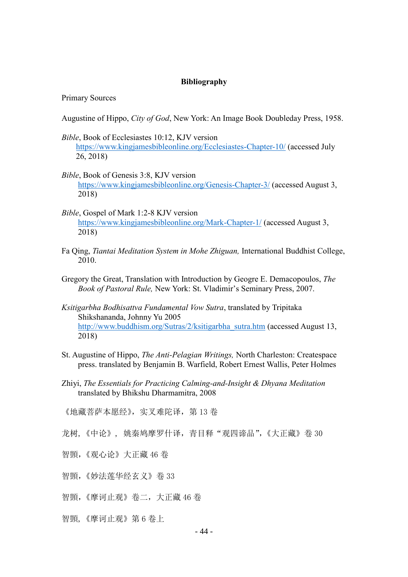#### **Bibliography**

Primary Sources

Augustine of Hippo, *City of God*, New York: An Image Book Doubleday Press, 1958.

- *Bible*, Book of Ecclesiastes 10:12, KJV version <https://www.kingjamesbibleonline.org/Ecclesiastes-Chapter-10/> (accessed July 26, 2018)
- *Bible*, Book of Genesis 3:8, KJV version <https://www.kingjamesbibleonline.org/Genesis-Chapter-3/> (accessed August 3, 2018)
- *Bible*, Gospel of Mark 1:2-8 KJV version <https://www.kingjamesbibleonline.org/Mark-Chapter-1/> (accessed August 3, 2018)
- Fa Qing, *Tiantai Meditation System in Mohe Zhiguan,* International Buddhist College, 2010.
- Gregory the Great, Translation with Introduction by Geogre E. Demacopoulos, *The Book of Pastoral Rule,* New York: St. Vladimir's Seminary Press, 2007.
- *Ksitigarbha Bodhisattva Fundamental Vow Sutra*, translated by Tripitaka Shikshananda, Johnny Yu 2005 [http://www.buddhism.org/Sutras/2/ksitigarbha\\_sutra.htm](http://www.buddhism.org/Sutras/2/ksitigarbha_sutra.htm) (accessed August 13, 2018)
- St. Augustine of Hippo, *The Anti-Pelagian Writings,* North Charleston: Createspace press. translated by Benjamin B. Warfield, Robert Ernest Wallis, Peter Holmes
- Zhiyi, *The Essentials for Practicing Calming-and-Insight & Dhyana Meditation* translated by Bhikshu Dharmamitra, 2008

《地藏菩萨本愿经》,实又难陀译,第 13卷

- 龙树, 《中论》, 姚秦鸠摩罗什译, 青目释"观四谛品", 《大正藏》卷 30
- 智顗,《观心论》大正藏 46 卷
- 智顗,《妙法莲华经玄义》卷 33
- 智顗,《摩诃止观》卷二,大正藏 46 卷
- 智顗,《摩诃止观》第 6 卷上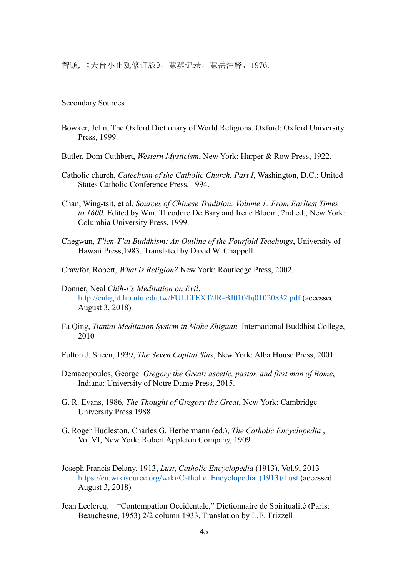智顗,《天台小止观修订版》,慧辨记录,慧岳注释,1976.

#### Secondary Sources

Bowker, John, The Oxford Dictionary of World Religions. Oxford: Oxford University Press, 1999.

Butler, Dom Cuthbert, *Western Mysticism*, New York: Harper & Row Press, 1922.

- Catholic church, *Catechism of the Catholic Church, Part I*, Washington, D.C.: United States Catholic Conference Press, 1994.
- Chan, Wing-tsit, et al. *Sources of Chinese Tradition: Volume 1: From Earliest Times to 1600*. Edited by Wm. Theodore De Bary and Irene Bloom, 2nd ed., New York: Columbia University Press, 1999.
- Chegwan, *T'ien-T'ai Buddhism: An Outline of the Fourfold Teachings*, University of Hawaii Press,1983. Translated by David W. Chappell
- Crawfor, Robert, *What is Religion?* New York: Routledge Press, 2002.
- Donner, Neal *Chih-i's Meditation on Evil*, <http://enlight.lib.ntu.edu.tw/FULLTEXT/JR-BJ010/bj01020832.pdf> (accessed August 3, 2018)
- Fa Qing, *Tiantai Meditation System in Mohe Zhiguan,* International Buddhist College, 2010
- Fulton J. Sheen, 1939, *The Seven Capital Sins*, New York: Alba House Press, 2001.
- Demacopoulos, George. *Gregory the Great: ascetic, pastor, and first man of Rome*, Indiana: University of Notre Dame Press, 2015.
- G. R. Evans, 1986, *The Thought of Gregory the Great*, New York: Cambridge University Press 1988.
- G. Roger Hudleston, Charles G. Herbermann (ed.), *The Catholic Encyclopedia* , Vol.VI, New York: Robert Appleton Company, 1909.
- Joseph Francis Delany, 1913, *Lust*, *Catholic Encyclopedia* (1913), Vol.9, 2013 [https://en.wikisource.org/wiki/Catholic\\_Encyclopedia\\_\(1913\)/Lust](https://en.wikisource.org/wiki/Catholic_Encyclopedia_(1913)/Lust) (accessed August 3, 2018)
- Jean Leclercq. "Contempation Occidentale," Dictionnaire de Spiritualité (Paris: Beauchesne, 1953) 2/2 column 1933. Translation by L.E. Frizzell